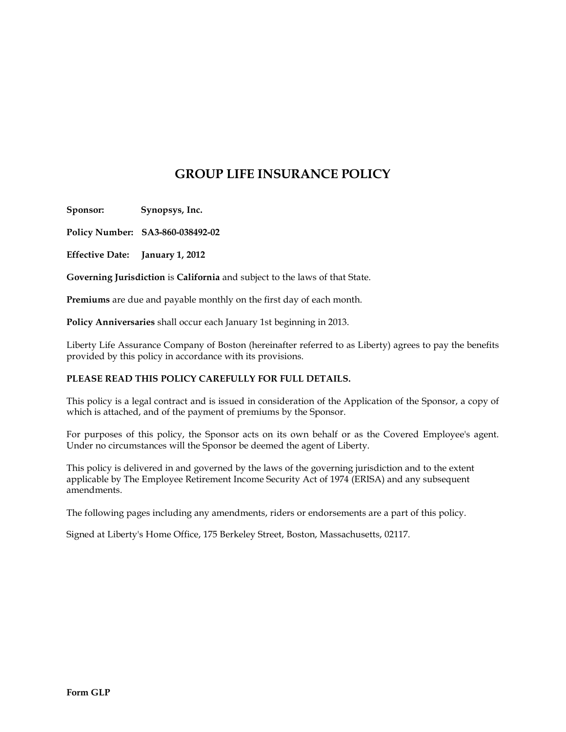## **GROUP LIFE INSURANCE POLICY**

**Sponsor: Synopsys, Inc.**

**Policy Number: SA3-860-038492-02**

**Effective Date: January 1,2012**

**Governing Jurisdiction** is **California** and subject to the laws of that State.

**Premiums** are due and payable monthly on the first day of each month.

**Policy Anniversaries** shall occur each January 1st beginning in 2013.

Liberty Life Assurance Company of Boston (hereinafter referred to as Liberty) agrees to pay the benefits provided by this policy in accordance with its provisions.

#### **PLEASE READ THIS POLICY CAREFULLY FOR FULL DETAILS.**

This policy is a legal contract and is issued in consideration of the Application of the Sponsor, a copy of which is attached, and of the payment of premiums by the Sponsor.

For purposes of this policy, the Sponsor acts on its own behalf or as the Covered Employee's agent. Under no circumstances will the Sponsor be deemed the agent of Liberty.

This policy is delivered in and governed by the laws of the governing jurisdiction and to the extent applicable by The Employee Retirement Income Security Act of 1974 (ERISA) and any subsequent amendments.

The following pages including any amendments, riders or endorsements are a part of this policy.

Signed at Liberty's Home Office, 175 Berkeley Street, Boston, Massachusetts, 02117.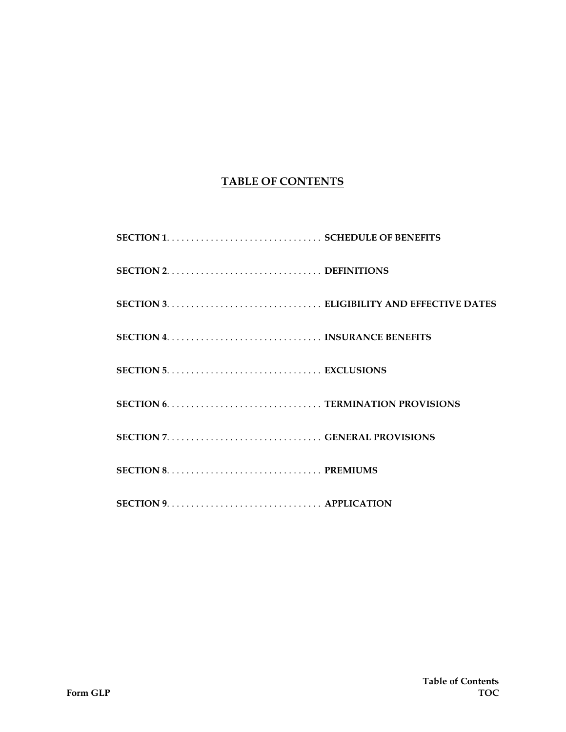## $\tt\t**TABLE OF CONTENTS**$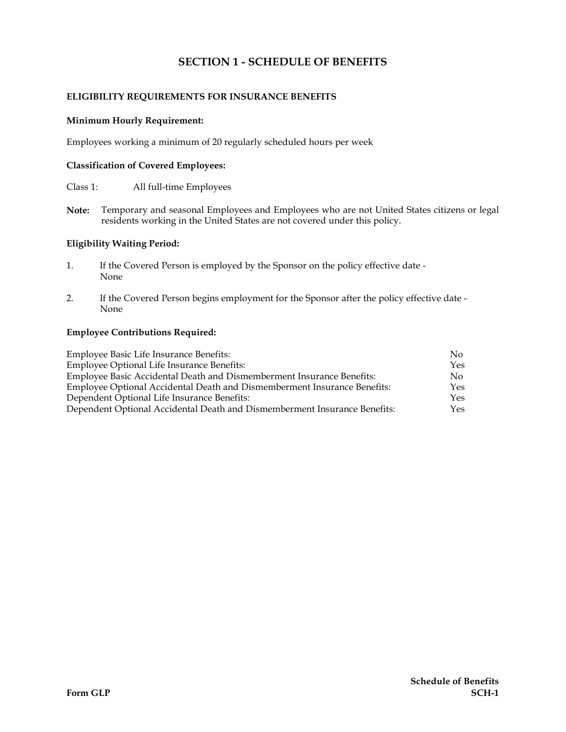## **SECTION 1 - SCHEDULE OF BENEFITS**

## **ELIGIBILITY REQUIREMENTS FOR INSURANCE BENEFITS**

#### **Minimum Hourly Requirement:**

Employees working a minimum of 20 regularly scheduled hours per week

#### **Classification of Covered Employees:**

Class 1: All full-time Employees

**Note:** Temporary and seasonal Employees and Employees who are not United States citizens or legal residents working in the United States are not covered under this policy.

#### **Eligibility Waiting Period:**

- 1. If the Covered Person is employed by the Sponsor on the policy effective date None
- 2. If the Covered Person begins employment for the Sponsor after the policy effective date None

#### **Employee Contributions Required:**

| Employee Basic Life Insurance Benefits:                                   | No  |
|---------------------------------------------------------------------------|-----|
| Employee Optional Life Insurance Benefits:                                | Yes |
| Employee Basic Accidental Death and Dismemberment Insurance Benefits:     | No. |
| Employee Optional Accidental Death and Dismemberment Insurance Benefits:  | Yes |
| Dependent Optional Life Insurance Benefits:                               | Yes |
| Dependent Optional Accidental Death and Dismemberment Insurance Benefits: | Yes |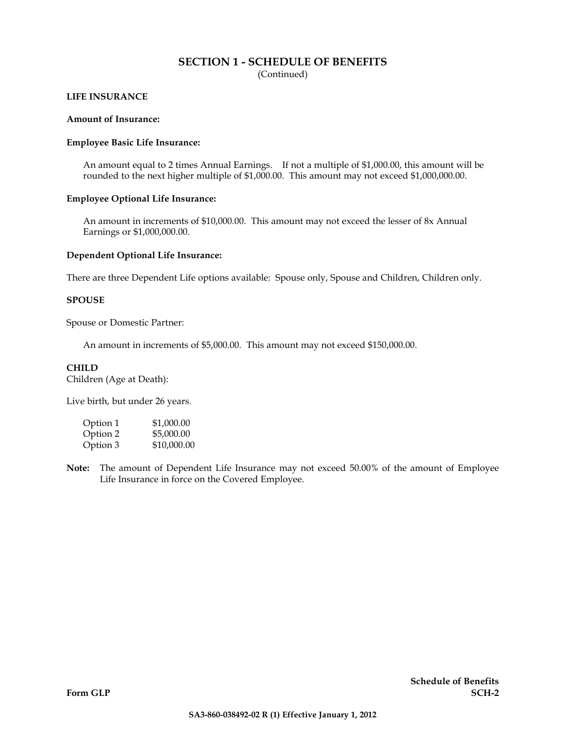#### **SECTION 1 - SCHEDULE OF BENEFITS** (Continued)

#### **LIFE INSURANCE**

#### **Amount of Insurance:**

#### **Employee Basic Life Insurance:**

An amount equal to 2 times Annual Earnings. If not a multiple of \$1,000.00, this amount will be rounded to the next higher multiple of \$1,000.00. This amount may not exceed \$1,000,000.00.

#### **Employee Optional Life Insurance:**

An amount in increments of \$10,000.00. This amount may not exceed the lesser of 8x Annual Earnings or \$1,000,000.00.

#### **Dependent Optional Life Insurance:**

There are three Dependent Life options available: Spouse only, Spouse and Children, Children only.

#### **SPOUSE**

Spouse or Domestic Partner:

An amount in increments of \$5,000.00. This amount may not exceed \$150,000.00.

#### **CHILD**

Children (Age at Death):

Live birth, but under 26 years.

| Option 1 | \$1,000.00  |
|----------|-------------|
| Option 2 | \$5,000.00  |
| Option 3 | \$10,000.00 |

**Note:** The amount of Dependent Life Insurance may not exceed 50.00% of the amount of Employee Life Insurance in force on the Covered Employee.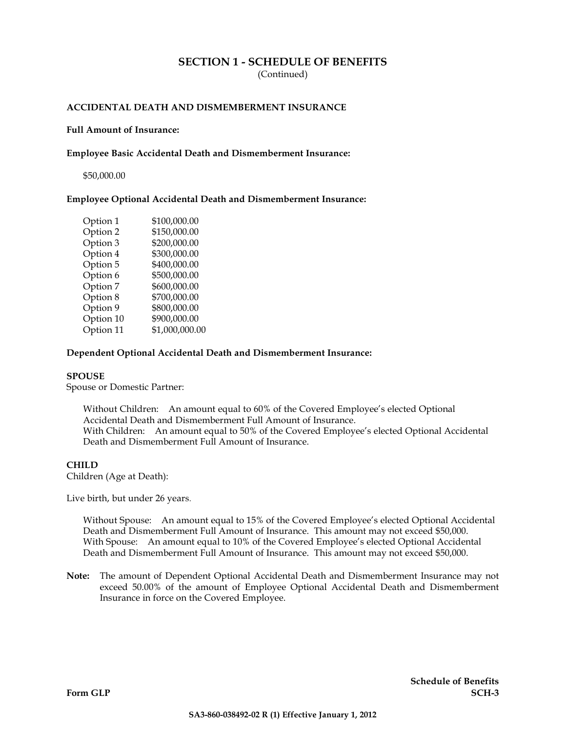# **SECTION 1 - SCHEDULE OF BENEFITS**

#### (Continued)

#### **ACCIDENTAL DEATH AND DISMEMBERMENT INSURANCE**

#### **Full Amount of Insurance:**

#### **Employee Basic Accidental Death and Dismemberment Insurance:**

\$50,000.00

**Employee Optional Accidental Death and Dismemberment Insurance:**

| Option 1  | \$100,000.00   |
|-----------|----------------|
| Option 2  | \$150,000.00   |
| Option 3  | \$200,000.00   |
| Option 4  | \$300,000.00   |
| Option 5  | \$400,000.00   |
| Option 6  | \$500,000.00   |
| Option 7  | \$600,000.00   |
| Option 8  | \$700,000.00   |
| Option 9  | \$800,000.00   |
| Option 10 | \$900,000.00   |
| Option 11 | \$1,000,000.00 |

#### **Dependent Optional Accidental Death and Dismemberment Insurance:**

#### **SPOUSE**

Spouse or Domestic Partner:

Without Children: An amount equal to 60% of the Covered Employee's elected Optional Accidental Death and Dismemberment Full Amount of Insurance. With Children: An amount equal to 50% of the Covered Employee's elected Optional Accidental Death and Dismemberment Full Amount of Insurance.

#### **CHILD**

Children (Age at Death):

Live birth, but under 26 years.

Without Spouse: An amount equal to 15% of the Covered Employee's elected Optional Accidental Death and Dismemberment Full Amount of Insurance. This amount may not exceed \$50,000. With Spouse: An amount equal to 10% of the Covered Employee's elected Optional Accidental Death and Dismemberment Full Amount of Insurance. This amount may not exceed \$50,000.

**Note:** The amount of Dependent Optional Accidental Death and Dismemberment Insurance may not exceed 50.00% of the amount of Employee Optional Accidental Death and Dismemberment Insurance in force on the Covered Employee.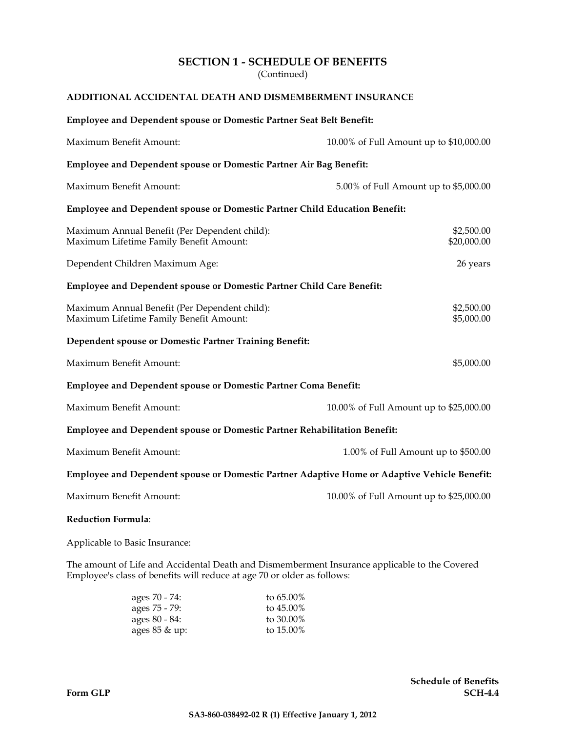## **SECTION 1 - SCHEDULE OF BENEFITS** (Continued)

## **ADDITIONAL ACCIDENTAL DEATH AND DISMEMBERMENT INSURANCE**

| Employee and Dependent spouse or Domestic Partner Seat Belt Benefit:                                                                                                     |                                         |  |  |
|--------------------------------------------------------------------------------------------------------------------------------------------------------------------------|-----------------------------------------|--|--|
| Maximum Benefit Amount:<br>10.00% of Full Amount up to \$10,000.00                                                                                                       |                                         |  |  |
| Employee and Dependent spouse or Domestic Partner Air Bag Benefit:                                                                                                       |                                         |  |  |
| Maximum Benefit Amount:                                                                                                                                                  | 5.00% of Full Amount up to \$5,000.00   |  |  |
| Employee and Dependent spouse or Domestic Partner Child Education Benefit:                                                                                               |                                         |  |  |
| Maximum Annual Benefit (Per Dependent child):<br>Maximum Lifetime Family Benefit Amount:                                                                                 | \$2,500.00<br>\$20,000.00               |  |  |
| Dependent Children Maximum Age:                                                                                                                                          | 26 years                                |  |  |
| Employee and Dependent spouse or Domestic Partner Child Care Benefit:                                                                                                    |                                         |  |  |
| Maximum Annual Benefit (Per Dependent child):<br>Maximum Lifetime Family Benefit Amount:                                                                                 | \$2,500.00<br>\$5,000.00                |  |  |
| Dependent spouse or Domestic Partner Training Benefit:                                                                                                                   |                                         |  |  |
| Maximum Benefit Amount:                                                                                                                                                  | \$5,000.00                              |  |  |
| Employee and Dependent spouse or Domestic Partner Coma Benefit:                                                                                                          |                                         |  |  |
| Maximum Benefit Amount:                                                                                                                                                  | 10.00% of Full Amount up to \$25,000.00 |  |  |
| Employee and Dependent spouse or Domestic Partner Rehabilitation Benefit:                                                                                                |                                         |  |  |
| Maximum Benefit Amount:<br>1.00% of Full Amount up to \$500.00                                                                                                           |                                         |  |  |
| Employee and Dependent spouse or Domestic Partner Adaptive Home or Adaptive Vehicle Benefit:                                                                             |                                         |  |  |
| Maximum Benefit Amount:                                                                                                                                                  | 10.00% of Full Amount up to \$25,000.00 |  |  |
| <b>Reduction Formula:</b>                                                                                                                                                |                                         |  |  |
| Applicable to Basic Insurance:                                                                                                                                           |                                         |  |  |
| The amount of Life and Accidental Death and Dismemberment Insurance applicable to the Covered<br>Employee's class of benefits will reduce at age 70 or older as follows: |                                         |  |  |

| ages 70 - 74:            | to $65.00\%$ |
|--------------------------|--------------|
| ages 75 - 79:            | to $45.00\%$ |
| ages 80 - 84:            | to 30.00%    |
| ages $85 \& \text{up}$ : | to 15.00%    |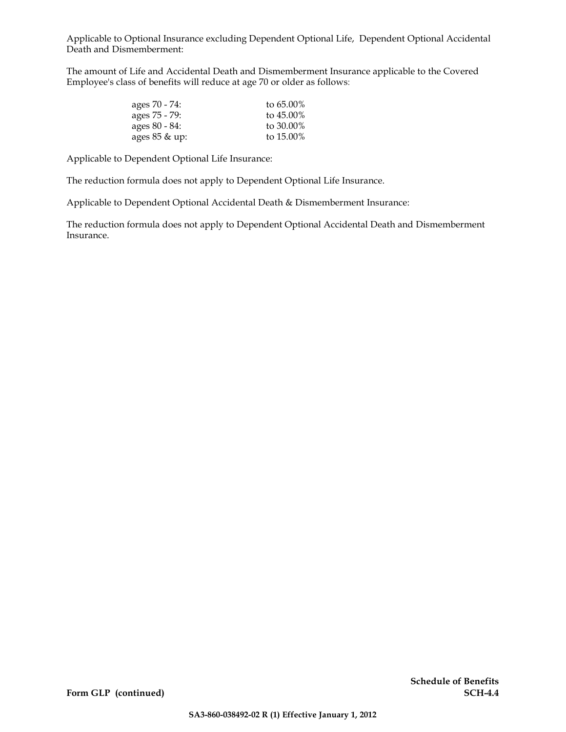Applicable to Optional Insurance excluding Dependent Optional Life, Dependent Optional Accidental Death and Dismemberment:

The amount of Life and Accidental Death and Dismemberment Insurance applicable to the Covered Employee's class of benefits will reduce at age 70 or older as follows:

| ages 70 - 74:     | to $65.00\%$ |
|-------------------|--------------|
| ages 75 - 79:     | to $45.00\%$ |
| ages 80 - 84:     | to 30.00%    |
| ages $85 \& up$ : | to 15.00%    |

Applicable to Dependent Optional Life Insurance:

The reduction formula does not apply to Dependent Optional Life Insurance.

Applicable to Dependent Optional Accidental Death & Dismemberment Insurance:

The reduction formula does not apply to Dependent Optional Accidental Death and Dismemberment Insurance.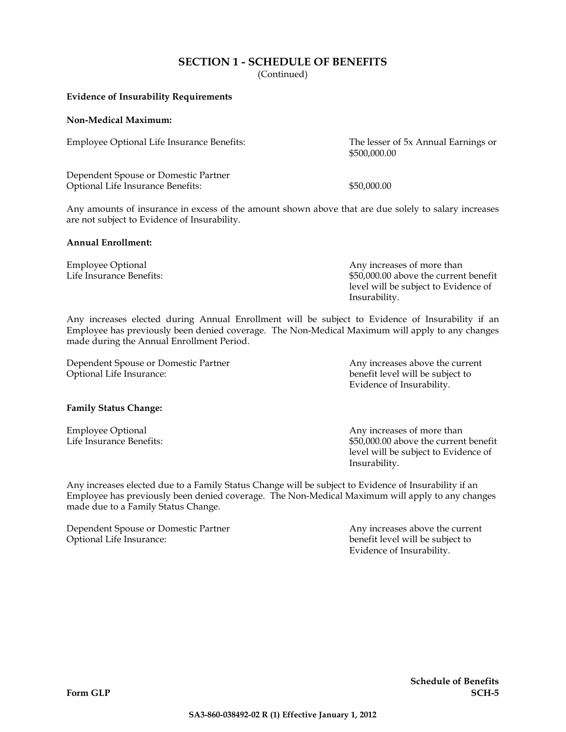## **SECTION 1 - SCHEDULE OF BENEFITS**

(Continued)

#### **Evidence of Insurability Requirements**

#### **Non-Medical Maximum:**

Employee Optional Life Insurance Benefits: The lesser of 5x Annual Earnings or

\$500,000.00

Dependent Spouse or Domestic Partner Optional Life Insurance Benefits: \$50,000.00

Any amounts of insurance in excess of the amount shown above that are due solely to salary increases are not subject to Evidence of Insurability.

#### **Annual Enrollment:**

Employee Optional Life Insurance Benefits:

Any increases of more than \$50,000.00 above the current benefit level will be subject to Evidence of Insurability.

Any increases elected during Annual Enrollment will be subject to Evidence of Insurability if an Employee has previously been denied coverage. The Non-Medical Maximum will apply to any changes made during the Annual Enrollment Period.

Dependent Spouse or Domestic Partner Optional Life Insurance:

#### **Family Status Change:**

Employee Optional Life Insurance Benefits: Any increases above the current benefit level will be subject to Evidence of Insurability.

Any increases of more than \$50,000.00 above the current benefit level will be subject to Evidence of Insurability.

Any increases elected due to a Family Status Change will be subject to Evidence of Insurability if an Employee has previously been denied coverage. The Non-Medical Maximum will apply to any changes made due to a Family Status Change.

Dependent Spouse or Domestic Partner Optional Life Insurance:

Any increases above the current benefit level will be subject to Evidence of Insurability.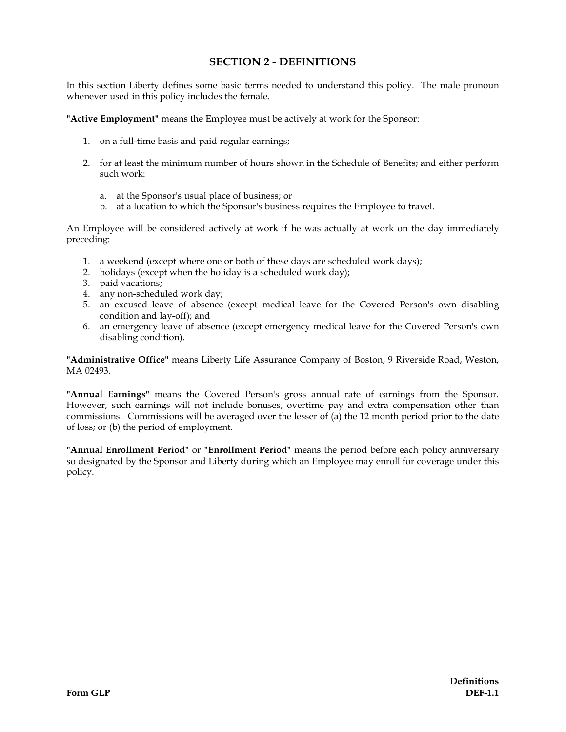In this section Liberty defines some basic terms needed to understand this policy. The male pronoun whenever used in this policy includes the female.

**"Active Employment"** means the Employee must be actively at work for the Sponsor:

- 1. on a full-time basis and paid regular earnings;
- 2. for at least the minimum number of hours shown in the Schedule of Benefits; and either perform such work:
	- a. at the Sponsor's usual place of business; or
	- b. at a location to which the Sponsor's business requires the Employee to travel.

An Employee will be considered actively at work if he was actually at work on the day immediately preceding:

- 1. a weekend (except where one or both of these days are scheduled work days);
- 2. holidays (except when the holiday is a scheduled work day);
- 3. paid vacations;
- 4. any non-scheduled work day;
- 5. an excused leave of absence (except medical leave for the Covered Person's own disabling condition and lay-off); and
- 6. an emergency leave of absence (except emergency medical leave for the Covered Person's own disabling condition).

**"Administrative Office"** means Liberty Life Assurance Company of Boston, 9 Riverside Road, Weston, MA 02493.

**"Annual Earnings"** means the Covered Person's gross annual rate of earnings from the Sponsor. However, such earnings will not include bonuses, overtime pay and extra compensation other than commissions. Commissions will be averaged over the lesser of (a) the 12 month period prior to the date of loss; or (b) the period of employment.

**"Annual Enrollment Period"** or **"Enrollment Period"** means the period before each policy anniversary so designated by the Sponsor and Liberty during which an Employee may enroll for coverage under this policy.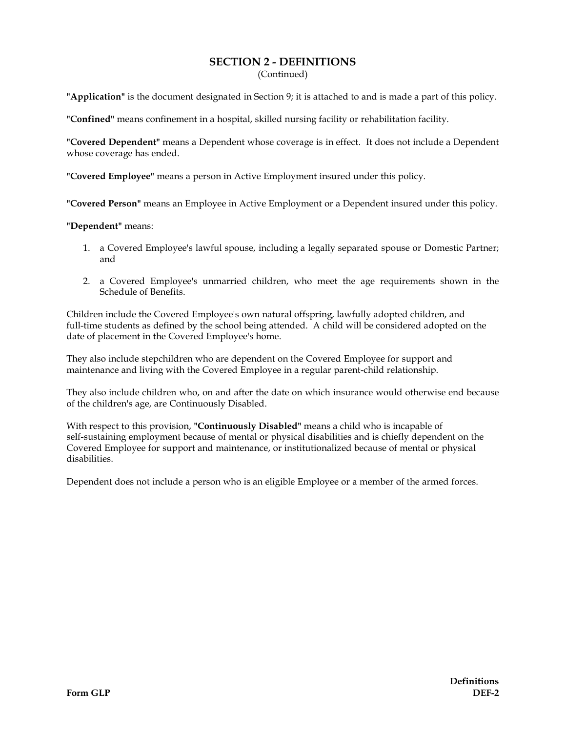(Continued)

**"Application"** is the document designated in Section 9; it is attached to and is made a part of this policy.

**"Confined"** means confinement in a hospital, skilled nursing facility or rehabilitation facility.

**"Covered Dependent"** means a Dependent whose coverage is in effect. It does not include a Dependent whose coverage has ended.

**"Covered Employee"** means a person in Active Employment insured under this policy.

**"Covered Person"** means an Employee in Active Employment or a Dependent insured under this policy.

#### **"Dependent"** means:

- 1. a Covered Employee's lawful spouse, including a legally separated spouse or Domestic Partner; and
- 2. a Covered Employee's unmarried children, who meet the age requirements shown in the Schedule of Benefits.

Children include the Covered Employee's own natural offspring, lawfully adopted children, and full-time students as defined by the school being attended. A child will be considered adopted on the date of placement in the Covered Employee's home.

They also include stepchildren who are dependent on the Covered Employee for support and maintenance and living with the Covered Employee in a regular parent-child relationship.

They also include children who, on and after the date on which insurance would otherwise end because of the children's age, are Continuously Disabled.

With respect to this provision, **"Continuously Disabled"** means a child who is incapable of self-sustaining employment because of mental or physical disabilities and is chiefly dependent on the Covered Employee for support and maintenance, or institutionalized because of mental or physical disabilities.

Dependent does not include a person who is an eligible Employee or a member of the armed forces.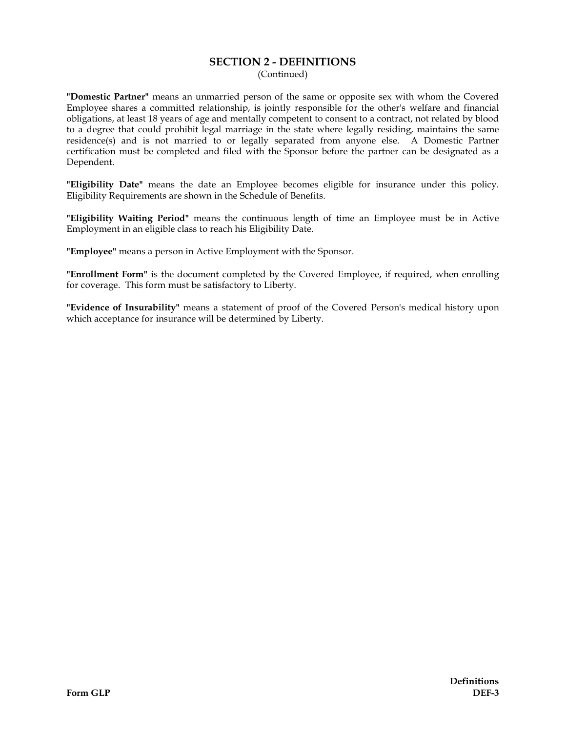(Continued)

**"Domestic Partner"** means an unmarried person of the same or opposite sex with whom the Covered Employee shares a committed relationship, is jointly responsible for the other's welfare and financial obligations, at least 18 years of age and mentally competent to consent to a contract, not related by blood to a degree that could prohibit legal marriage in the state where legally residing, maintains the same residence(s) and is not married to or legally separated from anyone else. A Domestic Partner certification must be completed and filed with the Sponsor before the partner can be designated as a Dependent.

**"Eligibility Date"** means the date an Employee becomes eligible for insurance under this policy. Eligibility Requirements are shown in the Schedule of Benefits.

**"Eligibility Waiting Period"** means the continuous length of time an Employee must be in Active Employment in an eligible class to reach his Eligibility Date.

**"Employee"** means a person in Active Employment with the Sponsor.

**"Enrollment Form"** is the document completed by the Covered Employee, if required, when enrolling for coverage. This form must be satisfactory to Liberty.

**"Evidence of Insurability"** means a statement of proof of the Covered Person's medical history upon which acceptance for insurance will be determined by Liberty.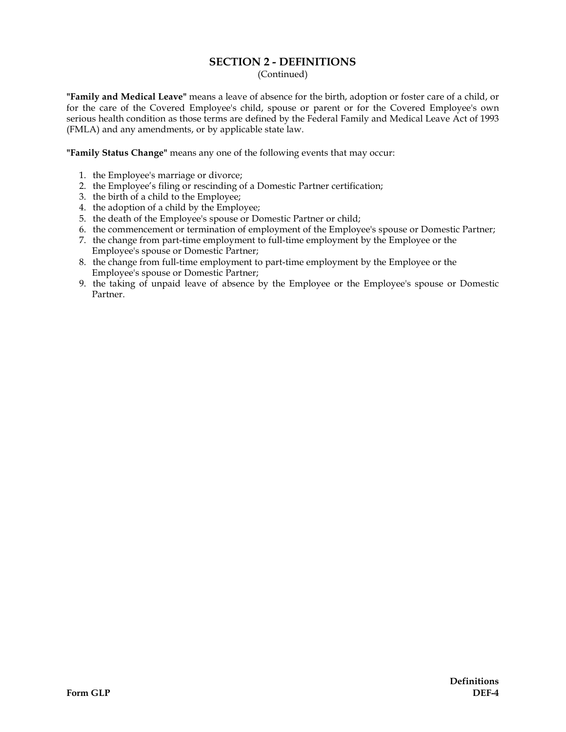(Continued)

**"Family and Medical Leave"** means a leave of absence for the birth, adoption or foster care of a child, or for the care of the Covered Employee's child, spouse or parent or for the Covered Employee's own serious health condition as those terms are defined by the Federal Family and Medical Leave Act of 1993 (FMLA) and any amendments, or by applicable state law.

**"Family Status Change"** means any one of the following events that may occur:

- 1. the Employee's marriage or divorce;
- 2. the Employee's filing or rescinding of a Domestic Partner certification;
- 3. the birth of a child to the Employee;
- 4. the adoption of a child by the Employee;
- 5. the death of the Employee's spouse or Domestic Partner or child;
- 6. the commencement or termination of employment of the Employee's spouse or Domestic Partner;
- 7. the change from part-time employment to full-time employment by the Employee or the Employee's spouse or Domestic Partner;
- 8. the change from full-time employment to part-time employment by the Employee or the Employee's spouse or Domestic Partner;
- 9. the taking of unpaid leave of absence by the Employee or the Employee's spouse or Domestic Partner.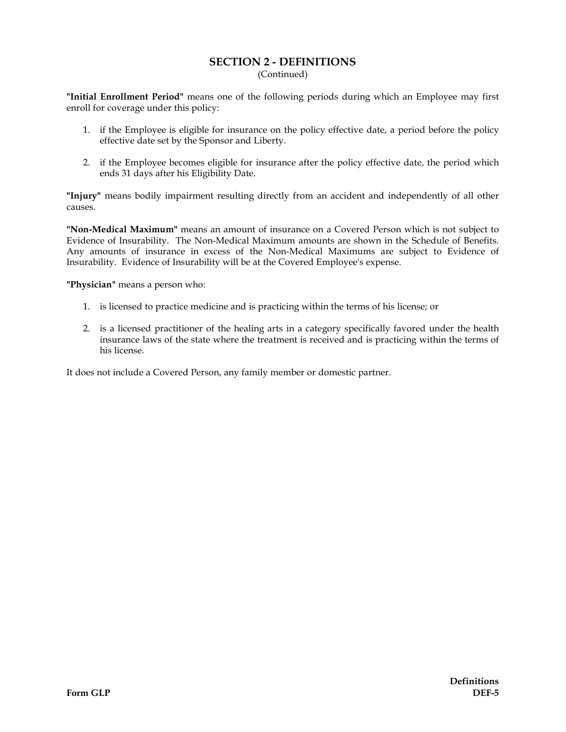(Continued)

**"Initial Enrollment Period"** means one of the following periods during which an Employee may first enroll for coverage under this policy:

- 1. if the Employee is eligible for insurance on the policy effective date, a period before the policy effective date set by the Sponsor and Liberty.
- 2. if the Employee becomes eligible for insurance after the policy effective date, the period which ends 31 days after his Eligibility Date.

**"Injury"** means bodily impairment resulting directly from an accident and independently of all other causes.

**"Non-Medical Maximum"** means an amount of insurance on a Covered Person which is not subject to Evidence of Insurability. The Non-Medical Maximum amounts are shown in the Schedule of Benefits. Any amounts of insurance in excess of the Non-Medical Maximums are subject to Evidence of Insurability. Evidence of Insurability will be at the Covered Employee's expense.

**"Physician"** means a person who:

- 1. is licensed to practice medicine and is practicing within the terms of his license; or
- 2. is a licensed practitioner of the healing arts in a category specifically favored under the health insurance laws of the state where the treatment is received and is practicing within the terms of his license.

It does not include a Covered Person, any family member or domestic partner.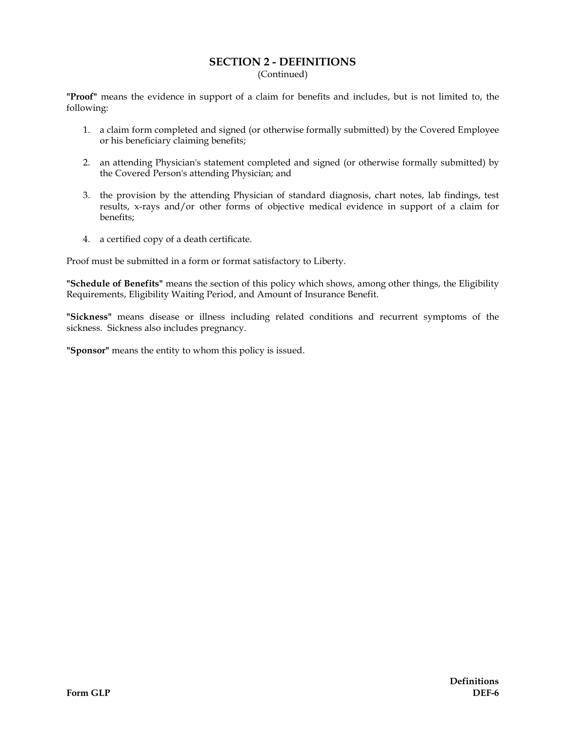(Continued)

**"Proof"** means the evidence in support of a claim for benefits and includes, but is not limited to, the following:

- 1. a claim form completed and signed (or otherwise formally submitted) by the Covered Employee or his beneficiary claiming benefits;
- 2. an attending Physician's statement completed and signed (or otherwise formally submitted) by the Covered Person's attending Physician; and
- 3. the provision by the attending Physician of standard diagnosis, chart notes, lab findings, test results, x-rays and/or other forms of objective medical evidence in support of a claim for benefits;
- 4. a certified copy of a death certificate.

Proof must be submitted in a form or format satisfactory to Liberty.

**"Schedule of Benefits"** means the section of this policy which shows, among other things, the Eligibility Requirements, Eligibility Waiting Period, and Amount of Insurance Benefit.

**"Sickness"** means disease or illness including related conditions and recurrent symptoms of the sickness. Sickness also includes pregnancy.

**"Sponsor"** means the entity to whom this policy is issued.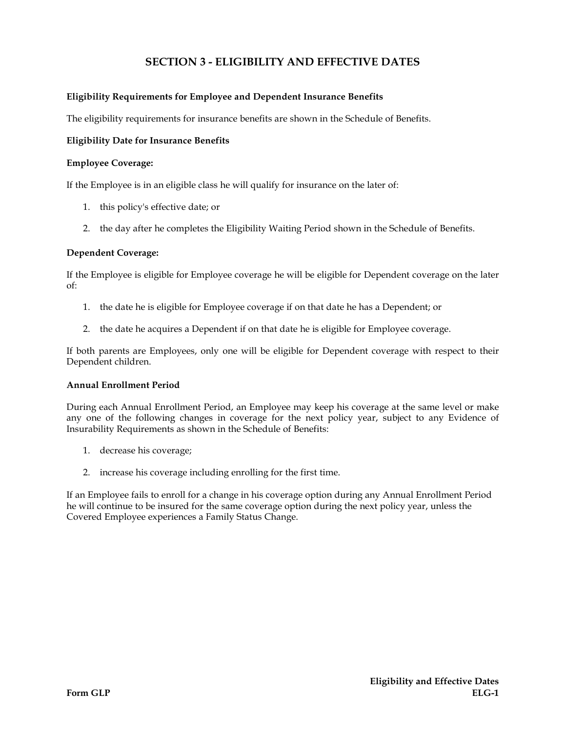#### **Eligibility Requirements for Employee and Dependent Insurance Benefits**

The eligibility requirements for insurance benefits are shown in the Schedule of Benefits.

#### **Eligibility Date for Insurance Benefits**

#### **Employee Coverage:**

If the Employee is in an eligible class he will qualify for insurance on the later of:

- 1. this policy's effective date; or
- 2. the day after he completes the Eligibility Waiting Period shown in the Schedule of Benefits.

#### **Dependent Coverage:**

If the Employee is eligible for Employee coverage he will be eligible for Dependent coverage on the later of:

- 1. the date he is eligible for Employee coverage if on that date he has a Dependent; or
- 2. the date he acquires a Dependent if on that date he is eligible for Employee coverage.

If both parents are Employees, only one will be eligible for Dependent coverage with respect to their Dependent children.

#### **Annual Enrollment Period**

During each Annual Enrollment Period, an Employee may keep his coverage at the same level or make any one of the following changes in coverage for the next policy year, subject to any Evidence of Insurability Requirements as shown in the Schedule of Benefits:

- 1. decrease his coverage;
- 2. increase his coverage including enrolling for the first time.

If an Employee fails to enroll for a change in his coverage option during any Annual Enrollment Period he will continue to be insured for the same coverage option during the next policy year, unless the Covered Employee experiences a Family Status Change.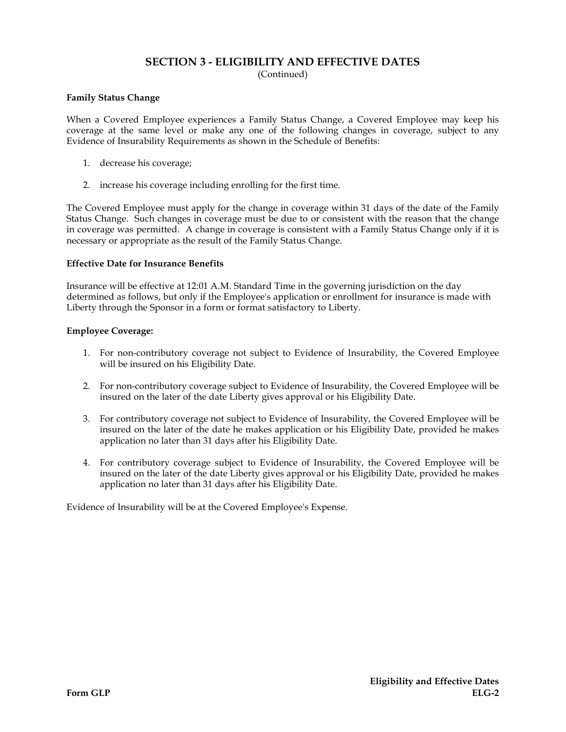(Continued)

#### **Family Status Change**

When a Covered Employee experiences a Family Status Change, a Covered Employee may keep his coverage at the same level or make any one of the following changes in coverage, subject to any Evidence of Insurability Requirements as shown in the Schedule of Benefits:

- 1. decrease his coverage;
- 2. increase his coverage including enrolling for the first time.

The Covered Employee must apply for the change in coverage within 31 days of the date of the Family Status Change. Such changes in coverage must be due to or consistent with the reason that the change in coverage was permitted. A change in coverage is consistent with a Family Status Change only if it is necessary or appropriate as the result of the Family Status Change.

#### **Effective Date for Insurance Benefits**

Insurance will be effective at 12:01 A.M. Standard Time in the governing jurisdiction on the day determined as follows, but only if the Employee's application or enrollment for insurance is made with Liberty through the Sponsor in a form or format satisfactory to Liberty.

#### **Employee Coverage:**

- 1. For non-contributory coverage not subject to Evidence of Insurability, the Covered Employee will be insured on his Eligibility Date.
- 2. For non-contributory coverage subject to Evidence of Insurability, the Covered Employee will be insured on the later of the date Liberty gives approval or his Eligibility Date.
- 3. For contributory coverage not subject to Evidence of Insurability, the Covered Employee will be insured on the later of the date he makes application or his Eligibility Date, provided he makes application no later than 31 days after his Eligibility Date.
- 4. For contributory coverage subject to Evidence of Insurability, the Covered Employee will be insured on the later of the date Liberty gives approval or his Eligibility Date, provided he makes application no later than 31 days after his Eligibility Date.

Evidence of Insurability will be at the Covered Employee's Expense.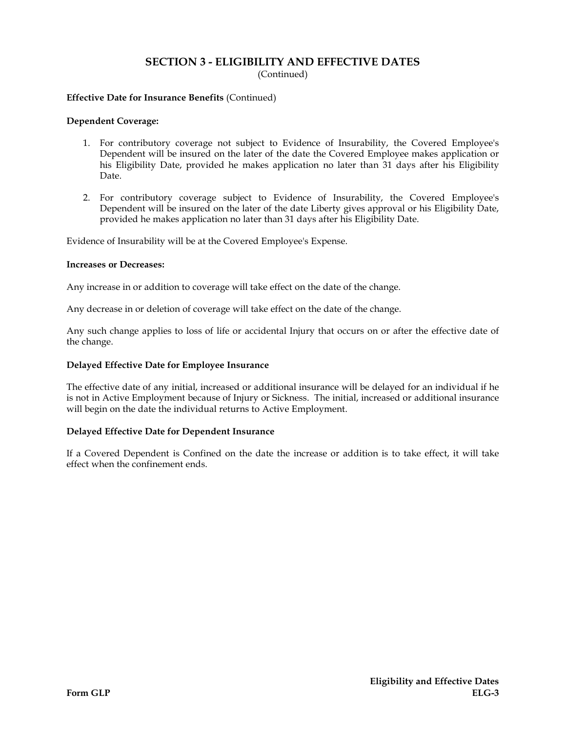(Continued)

#### **Effective Date for Insurance Benefits** (Continued)

#### **Dependent Coverage:**

- 1. For contributory coverage not subject to Evidence of Insurability, the Covered Employee's Dependent will be insured on the later of the date the Covered Employee makes application or his Eligibility Date, provided he makes application no later than 31 days after his Eligibility Date.
- 2. For contributory coverage subject to Evidence of Insurability, the Covered Employee's Dependent will be insured on the later of the date Liberty gives approval or his Eligibility Date, provided he makes application no later than 31 days after his Eligibility Date.

Evidence of Insurability will be at the Covered Employee's Expense.

#### **Increases or Decreases:**

Any increase in or addition to coverage will take effect on the date of the change.

Any decrease in or deletion of coverage will take effect on the date of the change.

Any such change applies to loss of life or accidental Injury that occurs on or after the effective date of the change.

#### **Delayed Effective Date for Employee Insurance**

The effective date of any initial, increased or additional insurance will be delayed for an individual if he is not in Active Employment because of Injury or Sickness. The initial, increased or additional insurance will begin on the date the individual returns to Active Employment.

#### **Delayed Effective Date for Dependent Insurance**

If a Covered Dependent is Confined on the date the increase or addition is to take effect, it will take effect when the confinement ends.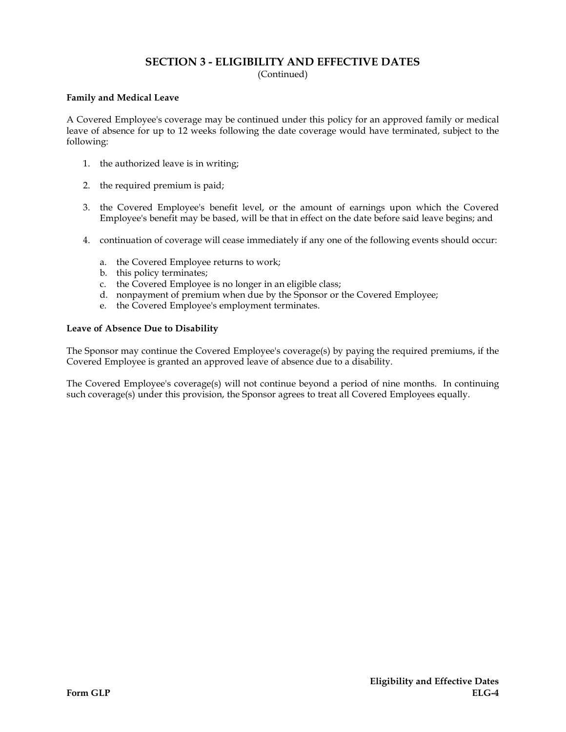(Continued)

#### **Family and Medical Leave**

A Covered Employee's coverage may be continued under this policy for an approved family or medical leave of absence for up to 12 weeks following the date coverage would have terminated, subject to the following:

- 1. the authorized leave is in writing;
- 2. the required premium is paid;
- 3. the Covered Employee's benefit level, or the amount of earnings upon which the Covered Employee's benefit may be based, will be that in effect on the date before said leave begins; and
- 4. continuation of coverage will cease immediately if any one of the following events should occur:
	- a. the Covered Employee returns to work;
	- b. this policy terminates;
	- c. the Covered Employee is no longer in an eligible class;
	- d. nonpayment of premium when due by the Sponsor or the Covered Employee;
	- e. the Covered Employee's employment terminates.

#### **Leave of Absence Due to Disability**

The Sponsor may continue the Covered Employee's coverage(s) by paying the required premiums, if the Covered Employee is granted an approved leave of absence due to a disability.

The Covered Employee's coverage(s) will not continue beyond a period of nine months. In continuing such coverage(s) under this provision, the Sponsor agrees to treat all Covered Employees equally.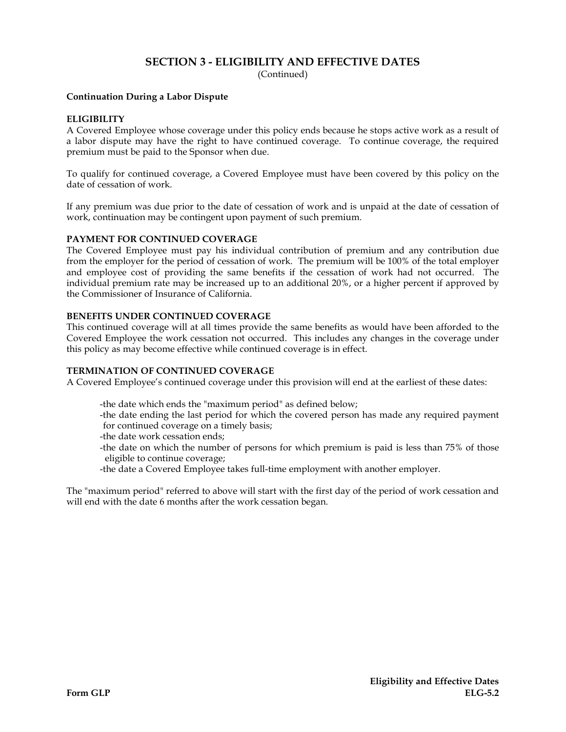(Continued)

#### **Continuation During a Labor Dispute**

#### **ELIGIBILITY**

A Covered Employee whose coverage under this policy ends because he stops active work as a result of a labor dispute may have the right to have continued coverage. To continue coverage, the required premium must be paid to the Sponsor when due.

To qualify for continued coverage, a Covered Employee must have been covered by this policy on the date of cessation of work.

If any premium was due prior to the date of cessation of work and is unpaid at the date of cessation of work, continuation may be contingent upon payment of such premium.

#### **PAYMENT FOR CONTINUED COVERAGE**

The Covered Employee must pay his individual contribution of premium and any contribution due from the employer for the period of cessation of work. The premium will be 100% of the total employer and employee cost of providing the same benefits if the cessation of work had not occurred. The individual premium rate may be increased up to an additional 20%, or a higher percent if approved by the Commissioner of Insurance of California.

### **BENEFITS UNDER CONTINUED COVERAGE**

This continued coverage will at all times provide the same benefits as would have been afforded to the Covered Employee the work cessation not occurred. This includes any changes in the coverage under this policy as may become effective while continued coverage is in effect.

#### **TERMINATION OF CONTINUED COVERAGE**

A Covered Employee's continued coverage under this provision will end at the earliest of these dates:

- -the date which ends the "maximum period" as defined below;
- -the date ending the last period for which the covered person has made any required payment for continued coverage on a timely basis;
- -the date work cessation ends;
- -the date on which the number of persons for which premium is paid is less than 75% of those eligible to continue coverage;
- -the date a Covered Employee takes full-time employment with another employer.

The "maximum period" referred to above will start with the first day of the period of work cessation and will end with the date 6 months after the work cessation began.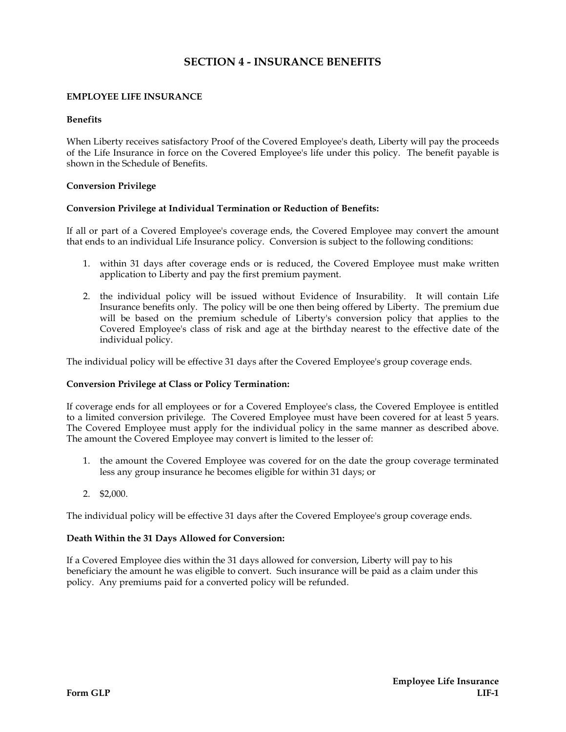#### **EMPLOYEE LIFE INSURANCE**

#### **B en e fi t s**

When Liberty receives satisfactory Proof of the Covered Employee's death, Liberty will pay the proceeds of the Life Insurance in force on the Covered Employee's life under this policy. The benefit payable is shown in the Schedule of Benefits.

#### **C on v e r s io n P r i v i le g e**

#### Conversion Privilege at Individual Termination or Reduction of Benefits:

If all or part of a Covered Employee's coverage ends, the Covered Employee may convert the amount If all or part of a Covered Employee's coverage ends, the Covered Employee may convert the amount<br>that ends to an individual Life Insurance policy. Conversion is subject to the following conditions:

- 1. within 31 days after coverage ends or is reduced, the Covered Employee must make written application to Liberty and pay the first premium payment.
- application to Liberty and pay the first premium payment.<br>2. the individual policy will be issued without Evidence of Insurability. It will contain Life Insurance benefits only. The policy will be one then being offered by Liberty. The premium due will be based on the premium schedule of Liberty's conversion policy that applies to the Covered Employee's class of risk and age at the birthday nearest to the effective date of the individual policy.

The individual policy will be effective 31 days after the Covered Employee's group coverage ends.

#### Conversion Privilege at Class or Policy Termination:

If coverage ends for all employees or for a Covered Employee's class, the Covered Employee is entitled t o a li m i t e d c o n v e r s i o n p r i v i l e g e . T h e C ov e r e d E m p l o y e e m u s th a v e b e e n c o v e r e d f o ra t l e a s t5 y e a rs . The Covered Employee must apply for the individual policy in the same manner as described above. The amount the Covered Employee may convert is limited to the lesser of:

- amount the Covered Employee may convert is limited to the lesser of:<br>1. the amount the Covered Employee was covered for on the date the group coverage terminated less any group insurance he becomes eligible for within 31 days; or
- 2. \$2,000.

The individual policy will be effective 31 days after the Covered Employee's group coverage ends.

#### Death Within the 31 Days Allowed for Conversion:

If a Covered Employee dies within the 31 days allowed for conversion, Liberty will pay to his beneficiary the amount he was eligible to convert. Such insurance will be paid as a claim under this policy. Any premiums paid for a converted policy will be refunded.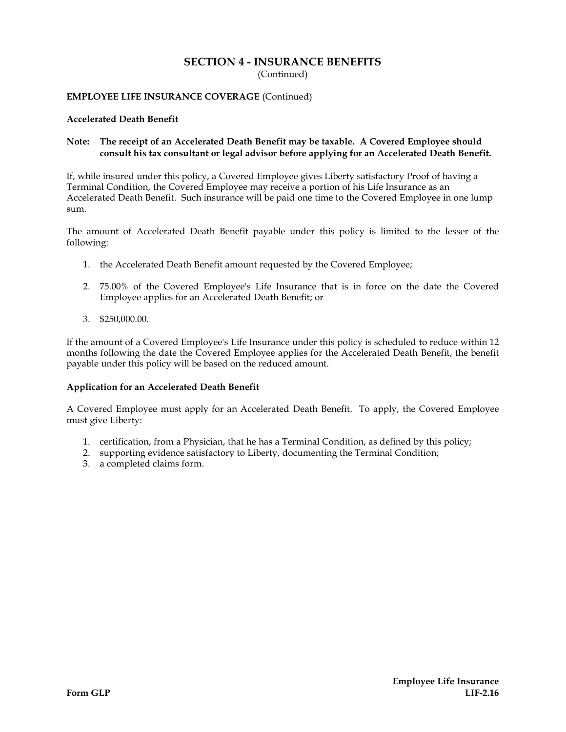(Continued)

### **EMPLOYEE LIFE INSURANCE COVERAGE** (Continued)

#### **Accelerated Death Benefit**

#### **Note: The receipt of an Accelerated Death Benefit may be taxable. A Covered Employee should consult his tax consultant or legal advisor before applying for an Accelerated Death Benefit.**

If, while insured under this policy, a Covered Employee gives Liberty satisfactory Proof of having a Terminal Condition, the Covered Employee may receive a portion of his Life Insurance as an Accelerated Death Benefit. Such insurance will be paid one time to the Covered Employee in one lump sum.

The amount of Accelerated Death Benefit payable under this policy is limited to the lesser of the following:

- 1. the Accelerated Death Benefit amount requested by the Covered Employee;
- 2. 75.00% of the Covered Employee's Life Insurance that is in force on the date the Covered Employee applies for an Accelerated Death Benefit; or
- 3. \$250,000.00.

If the amount of a Covered Employee's Life Insurance under this policy is scheduled to reduce within 12 months following the date the Covered Employee applies for the Accelerated Death Benefit, the benefit payable under this policy will be based on the reduced amount.

#### **Application for an Accelerated Death Benefit**

A Covered Employee must apply for an Accelerated Death Benefit. To apply, the Covered Employee must give Liberty:

- 1. certification, from a Physician, that he has a Terminal Condition, as defined by this policy;
- 2. supporting evidence satisfactory to Liberty, documenting the Terminal Condition;
- 3. a completed claims form.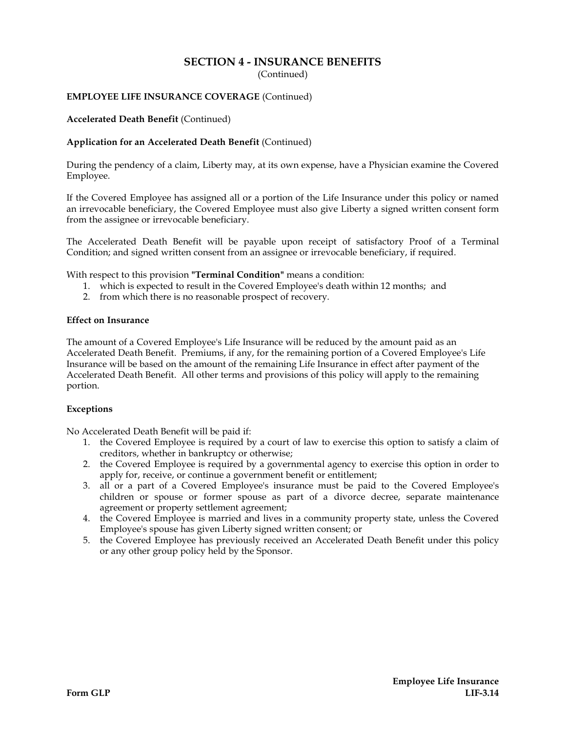(Continued)

### **EMPLOYEE LIFE INSURANCE COVERAGE** (Continued)

#### **Accelerated Death Benefit** (Continued)

#### **Application for an Accelerated Death Benefit** (Continued)

During the pendency of a claim, Liberty may, at its own expense, have a Physician examine the Covered Employee.

If the Covered Employee has assigned all or a portion of the Life Insurance under this policy or named an irrevocable beneficiary, the Covered Employee must also give Liberty a signed written consent form from the assignee or irrevocable beneficiary.

The Accelerated Death Benefit will be payable upon receipt of satisfactory Proof of a Terminal Condition; and signed written consent from an assignee or irrevocable beneficiary, if required.

With respect to this provision **"Terminal Condition"** means a condition:

- 1. which is expected to result in the Covered Employee's death within 12 months; and
- 2. from which there is no reasonable prospect of recovery.

#### **Effect on Insurance**

The amount of a Covered Employee's Life Insurance will be reduced by the amount paid as an Accelerated Death Benefit. Premiums, if any, for the remaining portion of a Covered Employee's Life Insurance will be based on the amount of the remaining Life Insurance in effect after payment of the Accelerated Death Benefit. All other terms and provisions of this policy will apply to the remaining portion.

#### **Exceptions**

No Accelerated Death Benefit will be paid if:

- 1. the Covered Employee is required by a court of law to exercise this option to satisfy a claim of creditors, whether in bankruptcy or otherwise;
- 2. the Covered Employee is required by a governmental agency to exercise this option in order to apply for, receive, or continue a government benefit or entitlement;
- 3. all or a part of a Covered Employee's insurance must be paid to the Covered Employee's children or spouse or former spouse as part of a divorce decree, separate maintenance agreement or property settlement agreement;
- 4. the Covered Employee is married and lives in a community property state, unless the Covered Employee's spouse has given Liberty signed written consent; or
- 5. the Covered Employee has previously received an Accelerated Death Benefit under this policy or any other group policy held by the Sponsor.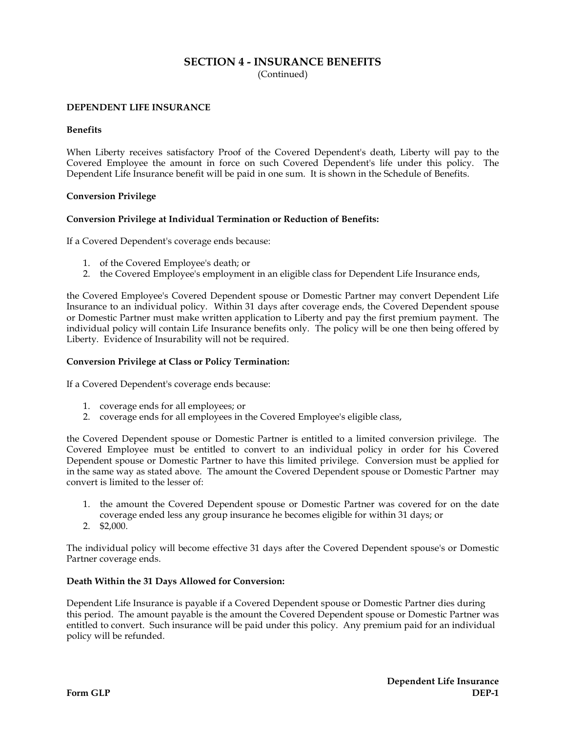(Continued)

#### **DEPENDENT LIFE INSURANCE**

#### **Benefits**

When Liberty receives satisfactory Proof of the Covered Dependent's death, Liberty will pay to the Covered Employee the amount in force on such Covered Dependent's life under this policy. The Dependent Life Insurance benefit will be paid in one sum. It is shown in the Schedule of Benefits.

#### **Conversion Privilege**

#### **Conversion Privilege at Individual Termination or Reduction of Benefits:**

If a Covered Dependent's coverage ends because:

- 1. of the Covered Employee's death; or
- 2. the Covered Employee's employment in an eligible class for Dependent Life Insurance ends,

the Covered Employee's Covered Dependent spouse or Domestic Partner may convert Dependent Life Insurance to an individual policy. Within 31 days after coverage ends, the Covered Dependent spouse or Domestic Partner must make written application to Liberty and pay the first premium payment. The individual policy will contain Life Insurance benefits only. The policy will be one then being offered by Liberty. Evidence of Insurability will not be required.

#### **Conversion Privilege at Class or Policy Termination:**

If a Covered Dependent's coverage ends because:

- 1. coverage ends for all employees; or
- 2. coverage ends for all employees in the Covered Employee's eligible class,

the Covered Dependent spouse or Domestic Partner is entitled to a limited conversion privilege. The Covered Employee must be entitled to convert to an individual policy in order for his Covered Dependent spouse or Domestic Partner to have this limited privilege. Conversion must be applied for in the same way as stated above. The amount the Covered Dependent spouse or Domestic Partner may convert is limited to the lesser of:

- 1. the amount the Covered Dependent spouse or Domestic Partner was covered for on the date coverage ended less any group insurance he becomes eligible for within 31 days; or
- 2. \$2,000.

The individual policy will become effective 31 days after the Covered Dependent spouse's or Domestic Partner coverage ends.

#### **Death Within the 31 Days Allowed for Conversion:**

Dependent Life Insurance is payable if a Covered Dependent spouse or Domestic Partner dies during this period. The amount payable is the amount the Covered Dependent spouse or Domestic Partner was entitled to convert. Such insurance will be paid under this policy. Any premium paid for an individual policy will be refunded.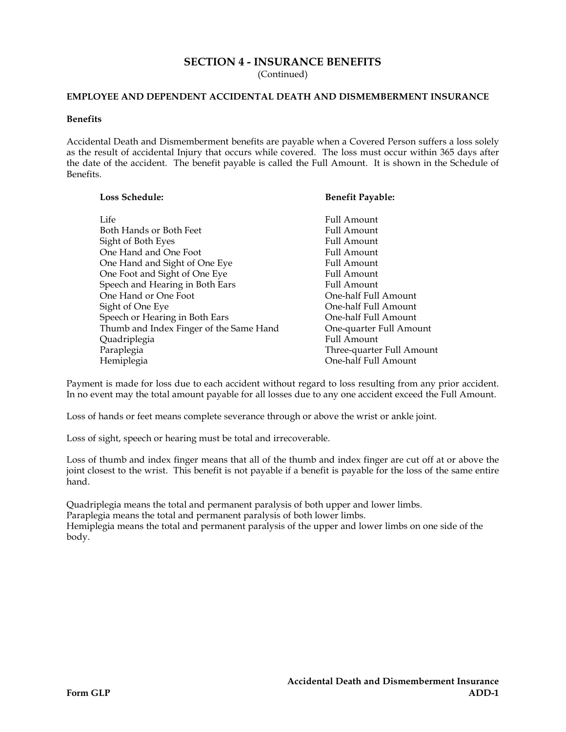(Continued)

### **EMPLOYEE AND DEPENDENT ACCIDENTAL DEATH AND DISMEMBERMENT INSURANCE**

#### **Benefits**

Accidental Death and Dismemberment benefits are payable when a Covered Person suffers a loss solely as the result of accidental Injury that occurs while covered. The loss must occur within 365 days after the date of the accident. The benefit payable is called the Full Amount. It is shown in the Schedule of Benefits.

| <b>Loss Schedule:</b>                   | <b>Benefit Payable:</b>   |
|-----------------------------------------|---------------------------|
|                                         |                           |
| Life                                    | Full Amount               |
| Both Hands or Both Feet                 | Full Amount               |
| Sight of Both Eyes                      | Full Amount               |
| One Hand and One Foot                   | Full Amount               |
| One Hand and Sight of One Eye           | Full Amount               |
| One Foot and Sight of One Eye           | Full Amount               |
| Speech and Hearing in Both Ears         | Full Amount               |
| One Hand or One Foot                    | One-half Full Amount      |
| Sight of One Eye                        | One-half Full Amount      |
| Speech or Hearing in Both Ears          | One-half Full Amount      |
| Thumb and Index Finger of the Same Hand | One-quarter Full Amount   |
| Quadriplegia                            | Full Amount               |
| Paraplegia                              | Three-quarter Full Amount |
| Hemiplegia                              | One-half Full Amount      |

Payment is made for loss due to each accident without regard to loss resulting from any prior accident. In no event may the total amount payable for all losses due to any one accident exceed the Full Amount.

Loss of hands or feet means complete severance through or above the wrist or ankle joint.

Loss of sight, speech or hearing must be total and irrecoverable.

Loss of thumb and index finger means that all of the thumb and index finger are cut off at or above the joint closest to the wrist. This benefit is not payable if a benefit is payable for the loss of the same entire hand.

Quadriplegia means the total and permanent paralysis of both upper and lower limbs.

Paraplegia means the total and permanent paralysis of both lower limbs.

Hemiplegia means the total and permanent paralysis of the upper and lower limbs on one side of the body.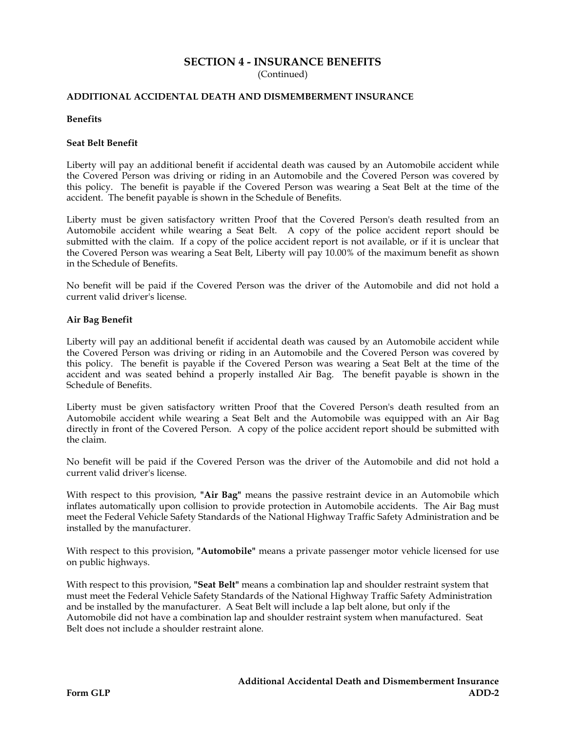(Continued)

### **ADDITIONAL ACCIDENTAL DEATH AND DISMEMBERMENT INSURANCE**

#### **Benefits**

#### **Seat Belt Benefit**

Liberty will pay an additional benefit if accidental death was caused by an Automobile accident while the Covered Person was driving or riding in an Automobile and the Covered Person was covered by this policy. The benefit is payable if the Covered Person was wearing a Seat Belt at the time of the accident. The benefit payable is shown in the Schedule of Benefits.

Liberty must be given satisfactory written Proof that the Covered Person's death resulted from an Automobile accident while wearing a Seat Belt. A copy of the police accident report should be submitted with the claim. If a copy of the police accident report is not available, or if it is unclear that the Covered Person was wearing a Seat Belt, Liberty will pay 10.00% of the maximum benefit as shown in the Schedule of Benefits.

No benefit will be paid if the Covered Person was the driver of the Automobile and did not hold a current valid driver's license.

#### **Air Bag Benefit**

Liberty will pay an additional benefit if accidental death was caused by an Automobile accident while the Covered Person was driving or riding in an Automobile and the Covered Person was covered by this policy. The benefit is payable if the Covered Person was wearing a Seat Belt at the time of the accident and was seated behind a properly installed Air Bag. The benefit payable is shown in the Schedule of Benefits.

Liberty must be given satisfactory written Proof that the Covered Person's death resulted from an Automobile accident while wearing a Seat Belt and the Automobile was equipped with an Air Bag directly in front of the Covered Person. A copy of the police accident report should be submitted with the claim.

No benefit will be paid if the Covered Person was the driver of the Automobile and did not hold a current valid driver's license.

With respect to this provision, **"Air Bag"** means the passive restraint device in an Automobile which inflates automatically upon collision to provide protection in Automobile accidents. The Air Bag must meet the Federal Vehicle Safety Standards of the National Highway Traffic Safety Administration and be installed by the manufacturer.

With respect to this provision, **"Automobile"** means a private passenger motor vehicle licensed for use on public highways.

With respect to this provision, **"Seat Belt"** means a combination lap and shoulder restraint system that must meet the Federal Vehicle Safety Standards of the National Highway Traffic Safety Administration and be installed by the manufacturer. A Seat Belt will include a lap belt alone, but only if the Automobile did not have a combination lap and shoulder restraint system when manufactured. Seat Belt does not include a shoulder restraint alone.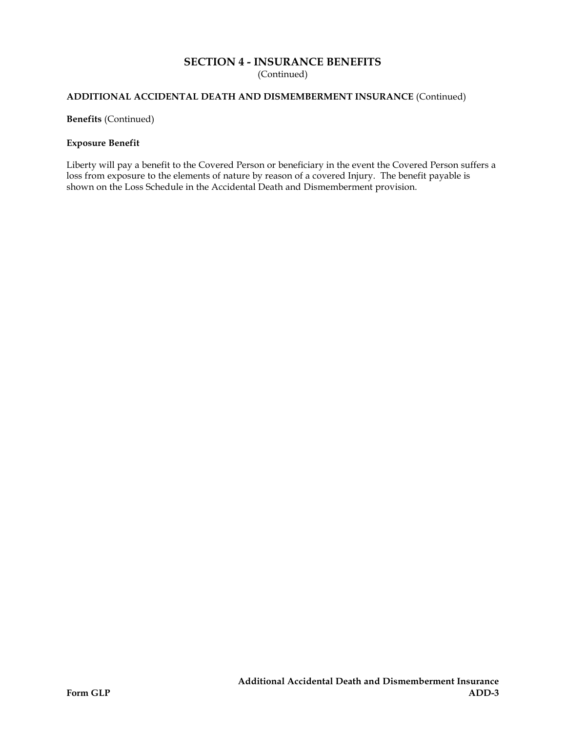(Continued)

## **ADDITIONAL ACCIDENTAL DEATH AND DISMEMBERMENT INSURANCE** (Continued)

**Benefits** (Continued)

#### **Exposure Benefit**

Liberty will pay a benefit to the Covered Person or beneficiary in the event the Covered Person suffers a loss from exposure to the elements of nature by reason of a covered Injury. The benefit payable is shown on the Loss Schedule in the Accidental Death and Dismemberment provision.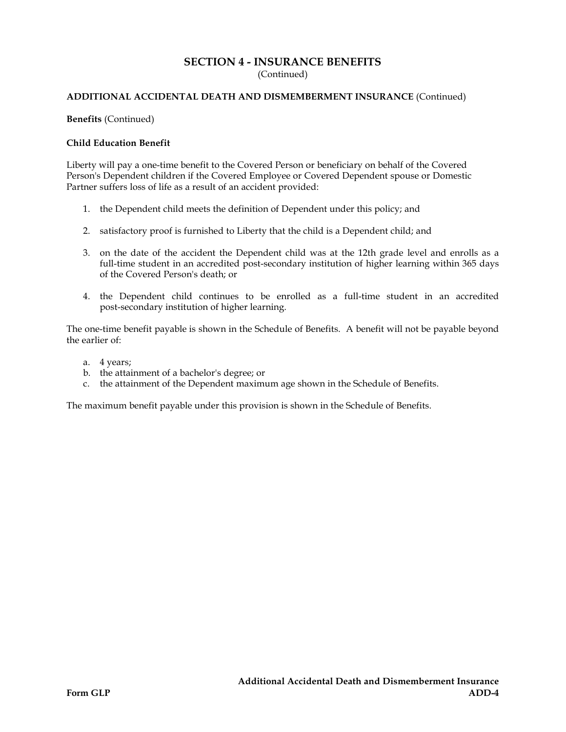(Continued)

### **ADDITIONAL ACCIDENTAL DEATH AND DISMEMBERMENT INSURANCE** (Continued)

**Benefits** (Continued)

#### **Child Education Benefit**

Liberty will pay a one-time benefit to the Covered Person or beneficiary on behalf of the Covered Person's Dependent children if the Covered Employee or Covered Dependent spouse or Domestic Partner suffers loss of life as a result of an accident provided:

- 1. the Dependent child meets the definition of Dependent under this policy; and
- 2. satisfactory proof is furnished to Liberty that the child is a Dependent child; and
- 3. on the date of the accident the Dependent child was at the 12th grade level and enrolls as a full-time student in an accredited post-secondary institution of higher learning within 365 days of the Covered Person's death; or
- 4. the Dependent child continues to be enrolled as a full-time student in an accredited post-secondary institution of higher learning.

The one-time benefit payable is shown in the Schedule of Benefits. A benefit will not be payable beyond the earlier of:

- a. 4 years;
- b. the attainment of a bachelor's degree; or
- c. the attainment of the Dependent maximum age shown in the Schedule of Benefits.

The maximum benefit payable under this provision is shown in the Schedule of Benefits.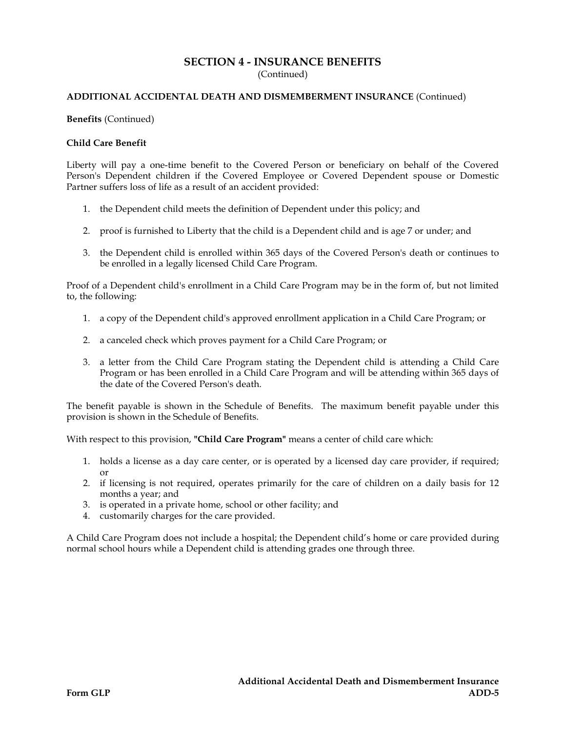(Continued)

### **ADDITIONAL ACCIDENTAL DEATH AND DISMEMBERMENT INSURANCE** (Continued)

#### **Benefits** (Continued)

#### **Child Care Benefit**

Liberty will pay a one-time benefit to the Covered Person or beneficiary on behalf of the Covered Person's Dependent children if the Covered Employee or Covered Dependent spouse or Domestic Partner suffers loss of life as a result of an accident provided:

- 1. the Dependent child meets the definition of Dependent under this policy; and
- 2. proof is furnished to Liberty that the child is a Dependent child and is age 7 or under; and
- 3. the Dependent child is enrolled within 365 days of the Covered Person's death or continues to be enrolled in a legally licensed Child Care Program.

Proof of a Dependent child's enrollment in a Child Care Program may be in the form of, but not limited to, the following:

- 1. a copy of the Dependent child's approved enrollment application in a Child Care Program; or
- 2. a canceled check which proves payment for a Child Care Program; or
- 3. a letter from the Child Care Program stating the Dependent child is attending a Child Care Program or has been enrolled in a Child Care Program and will be attending within 365 days of the date of the Covered Person's death.

The benefit payable is shown in the Schedule of Benefits. The maximum benefit payable under this provision is shown in the Schedule of Benefits.

With respect to this provision, **"Child Care Program"** means a center of child care which:

- 1. holds a license as a day care center, or is operated by a licensed day care provider, if required; or
- 2. if licensing is not required, operates primarily for the care of children on a daily basis for 12 months a year; and
- 3. is operated in a private home, school or other facility; and
- 4. customarily charges for the care provided.

A Child Care Program does not include a hospital; the Dependent child's home or care provided during normal school hours while a Dependent child is attending grades one through three.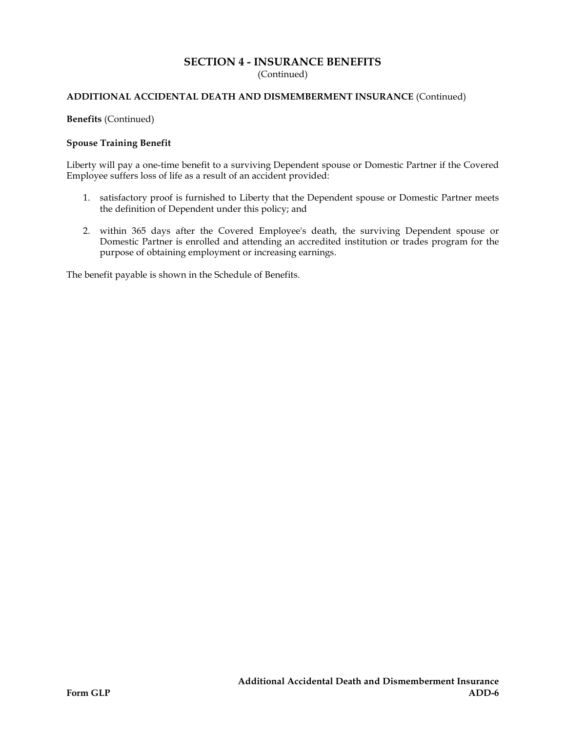(Continued)

### **ADDITIONAL ACCIDENTAL DEATH AND DISMEMBERMENT INSURANCE** (Continued)

**Benefits** (Continued)

#### **Spouse Training Benefit**

Liberty will pay a one-time benefit to a surviving Dependent spouse or Domestic Partner if the Covered Employee suffers loss of life as a result of an accident provided:

- 1. satisfactory proof is furnished to Liberty that the Dependent spouse or Domestic Partner meets the definition of Dependent under this policy; and
- 2. within 365 days after the Covered Employee's death, the surviving Dependent spouse or Domestic Partner is enrolled and attending an accredited institution or trades program for the purpose of obtaining employment or increasing earnings.

The benefit payable is shown in the Schedule of Benefits.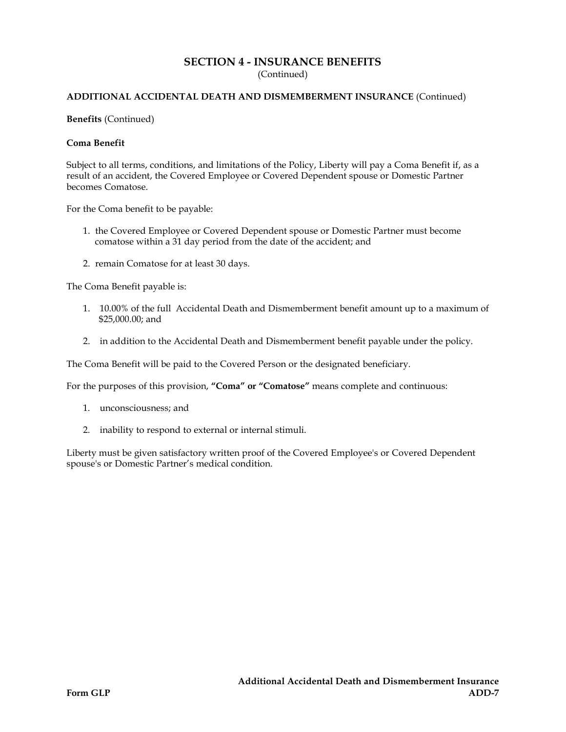(Continued)

### **ADDITIONAL ACCIDENTAL DEATH AND DISMEMBERMENT INSURANCE** (Continued)

#### **Benefits** (Continued)

#### **Coma Benefit**

Subject to all terms, conditions, and limitations of the Policy, Liberty will pay a Coma Benefit if, as a result of an accident, the Covered Employee or Covered Dependent spouse or Domestic Partner becomes Comatose.

For the Coma benefit to be payable:

- 1. the Covered Employee or Covered Dependent spouse or Domestic Partner must become comatose within a 31 day period from the date of the accident; and
- 2. remain Comatose for at least 30 days.

The Coma Benefit payable is:

- 1. 10.00% of the full Accidental Death and Dismemberment benefit amount up to a maximum of \$25,000.00; and
- 2. in addition to the Accidental Death and Dismemberment benefit payable under the policy.

The Coma Benefit will be paid to the Covered Person or the designated beneficiary.

For the purposes of this provision, **"Coma" or "Comatose"** means complete and continuous:

- 1. unconsciousness; and
- 2. inability to respond to external or internal stimuli.

Liberty must be given satisfactory written proof of the Covered Employee's or Covered Dependent spouse's or Domestic Partner's medical condition.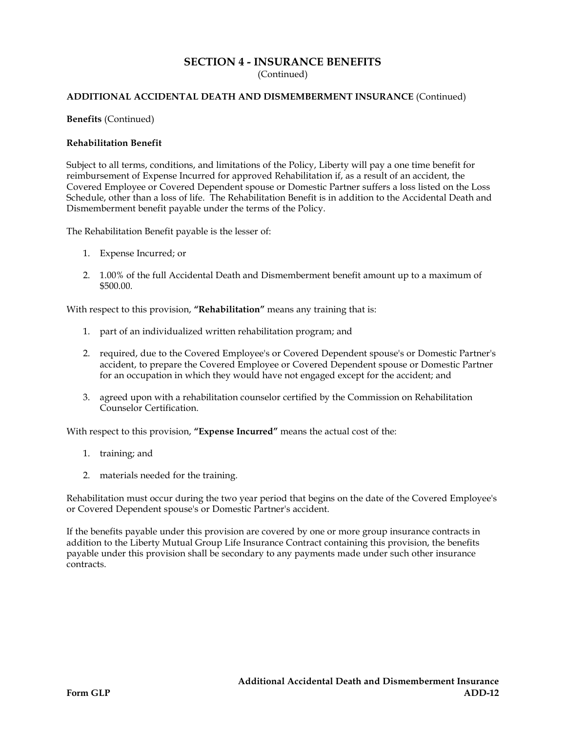(Continued)

#### **ADDITIONAL ACCIDENTAL DEATH AND DISMEMBERMENT INSURANCE** (Continued)

#### **Benefits** (Continued)

#### **Rehabilitation Benefit**

Subject to all terms, conditions, and limitations of the Policy, Liberty will pay a one time benefit for reimbursement of Expense Incurred for approved Rehabilitation if, as a result of an accident, the Covered Employee or Covered Dependent spouse or Domestic Partner suffers a loss listed on the Loss Schedule, other than a loss of life. The Rehabilitation Benefit is in addition to the Accidental Death and Dismemberment benefit payable under the terms of the Policy.

The Rehabilitation Benefit payable is the lesser of:

- 1. Expense Incurred; or
- 2. 1.00% of the full Accidental Death and Dismemberment benefit amount up to a maximum of \$500.00.

With respect to this provision, **"Rehabilitation"** means any training that is:

- 1. part of an individualized written rehabilitation program; and
- 2. required, due to the Covered Employee's or Covered Dependent spouse's or Domestic Partner's accident, to prepare the Covered Employee or Covered Dependent spouse or Domestic Partner for an occupation in which they would have not engaged except for the accident; and
- 3. agreed upon with a rehabilitation counselor certified by the Commission on Rehabilitation Counselor Certification.

With respect to this provision, **"Expense Incurred"** means the actual cost of the:

- 1. training; and
- 2. materials needed for the training.

Rehabilitation must occur during the two year period that begins on the date of the Covered Employee's or Covered Dependent spouse's or Domestic Partner's accident.

If the benefits payable under this provision are covered by one or more group insurance contracts in addition to the Liberty Mutual Group Life Insurance Contract containing this provision, the benefits payable under this provision shall be secondary to any payments made under such other insurance contracts.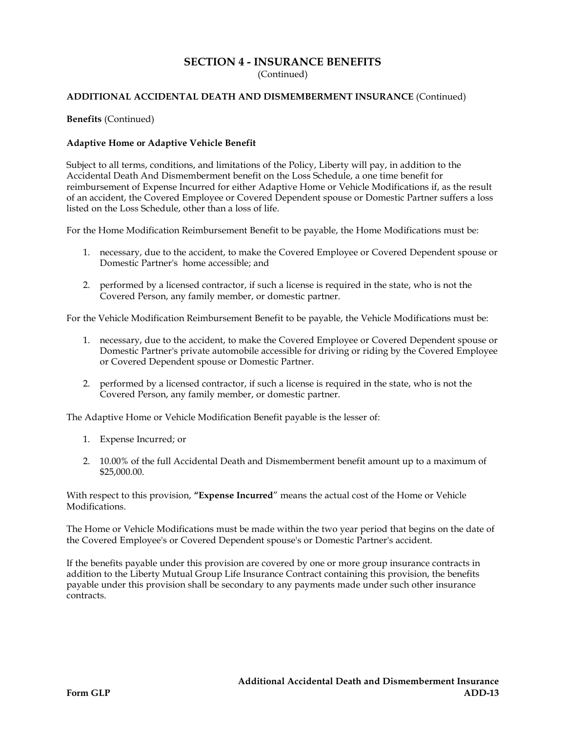(Continued)

#### **ADDITIONAL ACCIDENTAL DEATH AND DISMEMBERMENT INSURANCE** (Continued)

**Benefits** (Continued)

#### **Adaptive Home or Adaptive Vehicle Benefit**

Subject to all terms, conditions, and limitations of the Policy, Liberty will pay, in addition to the Accidental Death And Dismemberment benefit on the Loss Schedule, a one time benefit for reimbursement of Expense Incurred for either Adaptive Home or Vehicle Modifications if, as the result of an accident, the Covered Employee or Covered Dependent spouse or Domestic Partner suffers a loss listed on the Loss Schedule, other than a loss of life.

For the Home Modification Reimbursement Benefit to be payable, the Home Modifications must be:

- 1. necessary, due to the accident, to make the Covered Employee or Covered Dependent spouse or Domestic Partner's home accessible; and
- 2. performed by a licensed contractor, if such a license is required in the state, who is not the Covered Person, any family member, or domestic partner.

For the Vehicle Modification Reimbursement Benefit to be payable, the Vehicle Modifications must be:

- 1. necessary, due to the accident, to make the Covered Employee or Covered Dependent spouse or Domestic Partner's private automobile accessible for driving or riding by the Covered Employee or Covered Dependent spouse or Domestic Partner.
- 2. performed by a licensed contractor, if such a license is required in the state, who is not the Covered Person, any family member, or domestic partner.

The Adaptive Home or Vehicle Modification Benefit payable is the lesser of:

- 1. Expense Incurred; or
- 2. 10.00% of the full Accidental Death and Dismemberment benefit amount up to a maximum of \$25,000.00.

With respect to this provision, **"Expense Incurred**" means the actual cost of the Home or Vehicle Modifications.

The Home or Vehicle Modifications must be made within the two year period that begins on the date of the Covered Employee's or Covered Dependent spouse's or Domestic Partner's accident.

If the benefits payable under this provision are covered by one or more group insurance contracts in addition to the Liberty Mutual Group Life Insurance Contract containing this provision, the benefits payable under this provision shall be secondary to any payments made under such other insurance contracts.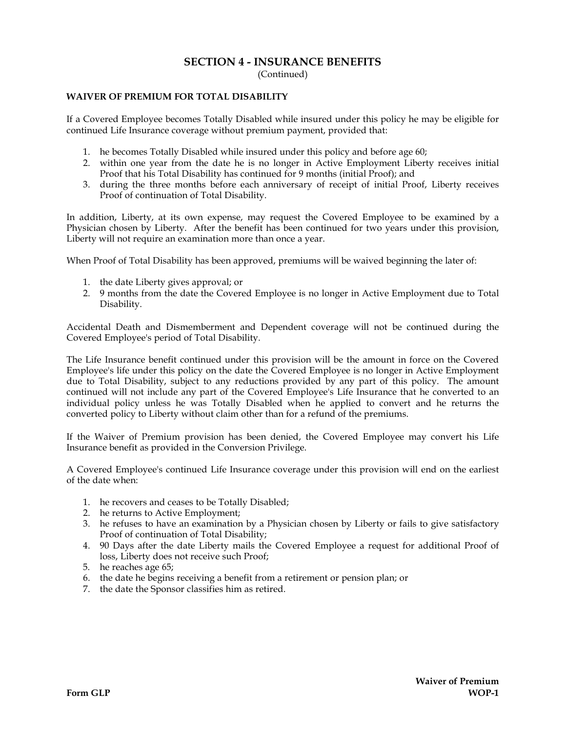(Continued)

### **WAIVER OF PREMIUM FOR TOTAL DISABILITY**

If a Covered Employee becomes Totally Disabled while insured under this policy he may be eligible for continued Life Insurance coverage without premium payment, provided that:

- 1. he becomes Totally Disabled while insured under this policy and before age 60;
- 2. within one year from the date he is no longer in Active Employment Liberty receives initial Proof that his Total Disability has continued for 9 months (initial Proof); and
- 3. during the three months before each anniversary of receipt of initial Proof, Liberty receives Proof of continuation of Total Disability.

In addition, Liberty, at its own expense, may request the Covered Employee to be examined by a Physician chosen by Liberty. After the benefit has been continued for two years under this provision, Liberty will not require an examination more than once a year.

When Proof of Total Disability has been approved, premiums will be waived beginning the later of:

- 1. the date Liberty gives approval; or
- 2. 9 months from the date the Covered Employee is no longer in Active Employment due to Total Disability.

Accidental Death and Dismemberment and Dependent coverage will not be continued during the Covered Employee's period of Total Disability.

The Life Insurance benefit continued under this provision will be the amount in force on the Covered Employee's life under this policy on the date the Covered Employee is no longer in Active Employment due to Total Disability, subject to any reductions provided by any part of this policy. The amount continued will not include any part of the Covered Employee's Life Insurance that he converted to an individual policy unless he was Totally Disabled when he applied to convert and he returns the converted policy to Liberty without claim other than for a refund of the premiums.

If the Waiver of Premium provision has been denied, the Covered Employee may convert his Life Insurance benefit as provided in the Conversion Privilege.

A Covered Employee's continued Life Insurance coverage under this provision will end on the earliest of the date when:

- 1. he recovers and ceases to be Totally Disabled;
- 2. he returns to Active Employment;
- 3. he refuses to have an examination by a Physician chosen by Liberty or fails to give satisfactory Proof of continuation of Total Disability;
- 4. 90 Days after the date Liberty mails the Covered Employee a request for additional Proof of loss, Liberty does not receive such Proof;
- 5. he reaches age 65;
- 6. the date he begins receiving a benefit from a retirement or pension plan; or
- 7. the date the Sponsor classifies him as retired.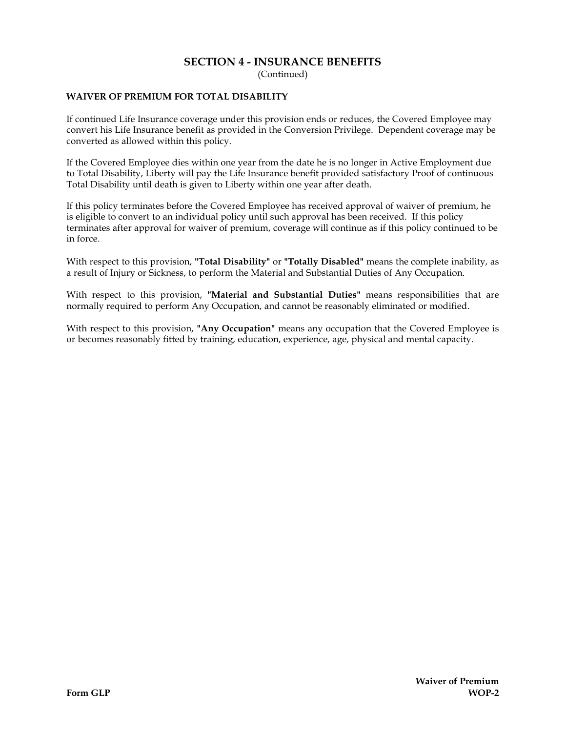(Continued)

### **WAIVER OF PREMIUM FOR TOTAL DISABILITY**

If continued Life Insurance coverage under this provision ends or reduces, the Covered Employee may convert his Life Insurance benefit as provided in the Conversion Privilege. Dependent coverage may be converted as allowed within this policy.

If the Covered Employee dies within one year from the date he is no longer in Active Employment due to Total Disability, Liberty will pay the Life Insurance benefit provided satisfactory Proof of continuous Total Disability until death is given to Liberty within one year after death.

If this policy terminates before the Covered Employee has received approval of waiver of premium, he is eligible to convert to an individual policy until such approval has been received. If this policy terminates after approval for waiver of premium, coverage will continue as if this policy continued to be in force.

With respect to this provision, **"Total Disability"** or **"Totally Disabled"** means the complete inability, as a result of Injury or Sickness, to perform the Material and Substantial Duties of Any Occupation.

With respect to this provision, **"Material and Substantial Duties"** means responsibilities that are normally required to perform Any Occupation, and cannot be reasonably eliminated or modified.

With respect to this provision, **"Any Occupation"** means any occupation that the Covered Employee is or becomes reasonably fitted by training, education, experience, age, physical and mental capacity.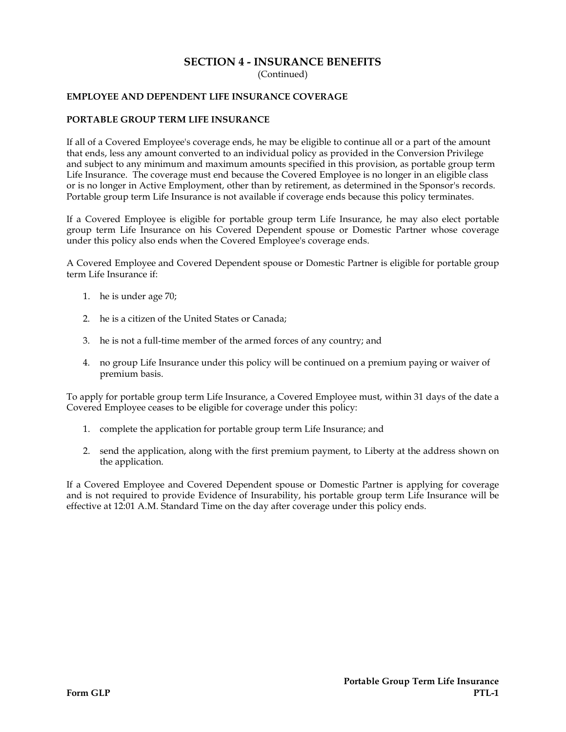(Continued)

### **EMPLOYEE AND DEPENDENT LIFE INSURANCE COVERAGE**

#### **PORTABLE GROUP TERM LIFE INSURANCE**

If all of a Covered Employee's coverage ends, he may be eligible to continue all or a part of the amount that ends, less any amount converted to an individual policy as provided in the Conversion Privilege and subject to any minimum and maximum amounts specified in this provision, as portable group term Life Insurance. The coverage must end because the Covered Employee is no longer in an eligible class or is no longer in Active Employment, other than by retirement, as determined in the Sponsor's records. Portable group term Life Insurance is not available if coverage ends because this policy terminates.

If a Covered Employee is eligible for portable group term Life Insurance, he may also elect portable group term Life Insurance on his Covered Dependent spouse or Domestic Partner whose coverage under this policy also ends when the Covered Employee's coverage ends.

A Covered Employee and Covered Dependent spouse or Domestic Partner is eligible for portable group term Life Insurance if:

- 1. he is under age 70;
- 2. he is a citizen of the United States or Canada;
- 3. he is not a full-time member of the armed forces of any country; and
- 4. no group Life Insurance under this policy will be continued on a premium paying or waiver of premium basis.

To apply for portable group term Life Insurance, a Covered Employee must, within 31 days of the date a Covered Employee ceases to be eligible for coverage under this policy:

- 1. complete the application for portable group term Life Insurance; and
- 2. send the application, along with the first premium payment, to Liberty at the address shown on the application.

If a Covered Employee and Covered Dependent spouse or Domestic Partner is applying for coverage and is not required to provide Evidence of Insurability, his portable group term Life Insurance will be effective at 12:01 A.M. Standard Time on the day after coverage under this policy ends.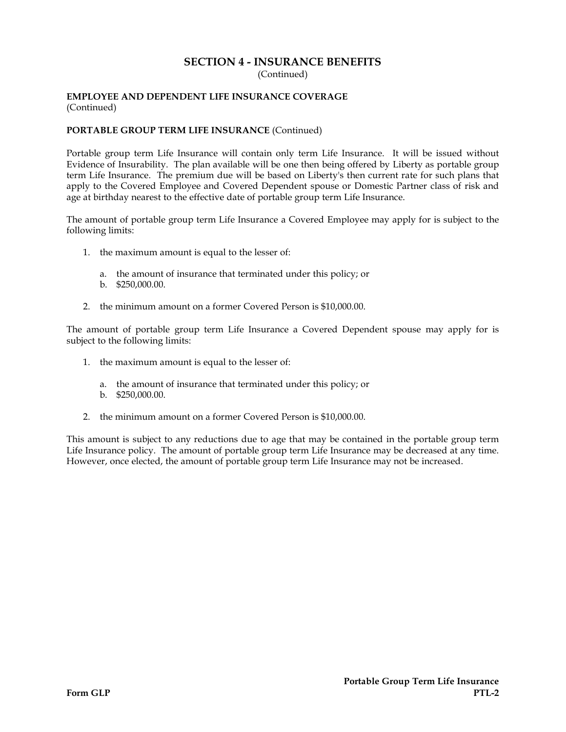(Continued)

#### **EMPLOYEE AND DEPENDENT LIFE INSURANCE COVERAGE** (Continued)

#### **PORTABLE GROUP TERM LIFE INSURANCE** (Continued)

Portable group term Life Insurance will contain only term Life Insurance. It will be issued without Evidence of Insurability. The plan available will be one then being offered by Liberty as portable group term Life Insurance. The premium due will be based on Liberty's then current rate for such plans that apply to the Covered Employee and Covered Dependent spouse or Domestic Partner class of risk and age at birthday nearest to the effective date of portable group term Life Insurance.

The amount of portable group term Life Insurance a Covered Employee may apply for is subject to the following limits:

- 1. the maximum amount is equal to the lesser of:
	- a. the amount of insurance that terminated under this policy; or
	- b. \$250,000.00.
- 2. the minimum amount on a former Covered Person is \$10,000.00.

The amount of portable group term Life Insurance a Covered Dependent spouse may apply for is subject to the following limits:

- 1. the maximum amount is equal to the lesser of:
	- a. the amount of insurance that terminated under this policy; or
	- b. \$250,000.00.
- 2. the minimum amount on a former Covered Person is \$10,000.00.

This amount is subject to any reductions due to age that may be contained in the portable group term Life Insurance policy. The amount of portable group term Life Insurance may be decreased at any time. However, once elected, the amount of portable group term Life Insurance may not be increased.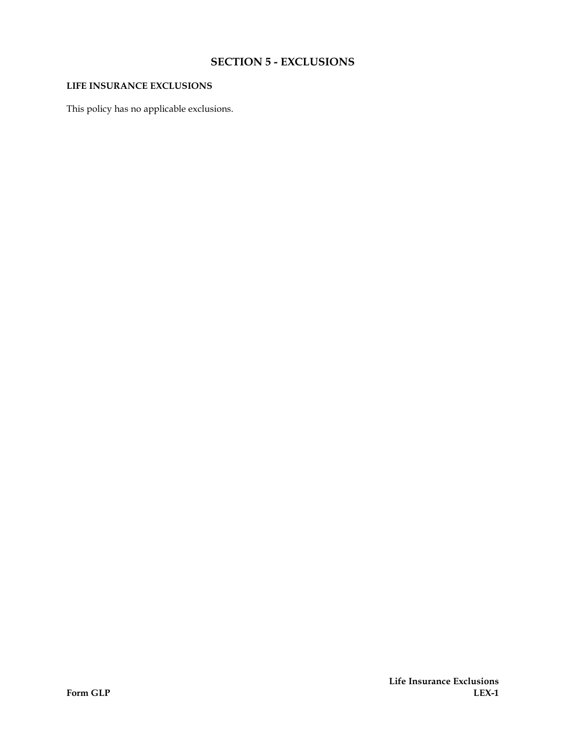## **SECTION 5 - EXCLUSIONS**

## **LIFE INSURANCE EXCLUSIONS**

This policy has no applicable exclusions.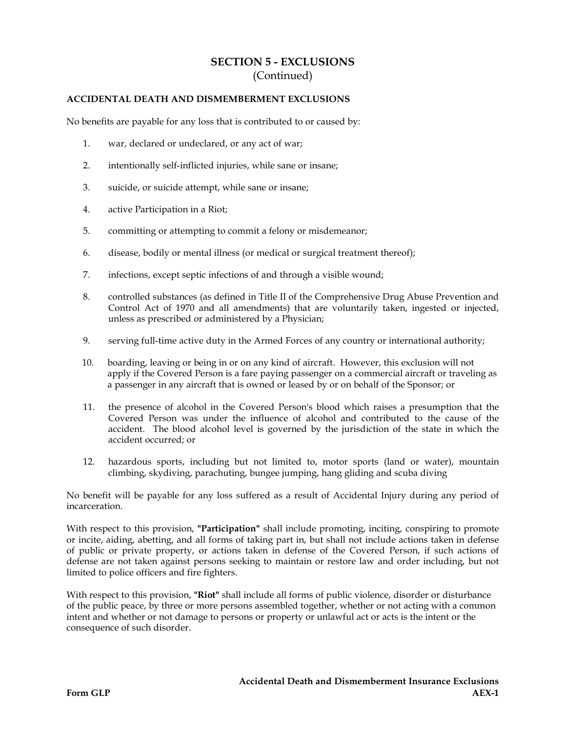## **SECTION 5 - EXCLUSIONS** (Continued)

#### **ACCIDENTAL DEATH AND DISMEMBERMENT EXCLUSIONS**

No benefits are payable for any loss that is contributed to or caused by:

- 1. war, declared or undeclared, or any act of war;
- 2. intentionally self-inflicted injuries, while sane or insane;
- 3. suicide, or suicide attempt, while sane or insane;
- 4. active Participation in a Riot;
- 5. committing or attempting to commit a felony or misdemeanor;
- 6. disease, bodily or mental illness (or medical or surgical treatment thereof);
- 7. infections, except septic infections of and through a visible wound;
- 8. controlled substances (as defined in Title II of the Comprehensive Drug Abuse Prevention and Control Act of 1970 and all amendments) that are voluntarily taken, ingested or injected, unless as prescribed or administered by a Physician;
- 9. serving full-time active duty in the Armed Forces of any country or international authority;
- 10. boarding, leaving or being in or on any kind of aircraft. However, this exclusion will not apply if the Covered Person is a fare paying passenger on a commercial aircraft or traveling as a passenger in any aircraft that is owned or leased by or on behalf of the Sponsor; or
- 11. the presence of alcohol in the Covered Person's blood which raises a presumption that the Covered Person was under the influence of alcohol and contributed to the cause of the accident. The blood alcohol level is governed by the jurisdiction of the state in which the accident occurred; or
- 12. hazardous sports, including but not limited to, motor sports (land or water), mountain climbing, skydiving, parachuting, bungee jumping, hang gliding and scuba diving

No benefit will be payable for any loss suffered as a result of Accidental Injury during any period of incarceration.

With respect to this provision, **"Participation"** shall include promoting, inciting, conspiring to promote or incite, aiding, abetting, and all forms of taking part in, but shall not include actions taken in defense of public or private property, or actions taken in defense of the Covered Person, if such actions of defense are not taken against persons seeking to maintain or restore law and order including, but not limited to police officers and fire fighters.

With respect to this provision, **"Riot"** shall include all forms of public violence, disorder or disturbance of the public peace, by three or more persons assembled together, whether or not acting with a common intent and whether or not damage to persons or property or unlawful act or acts is the intent or the consequence of such disorder.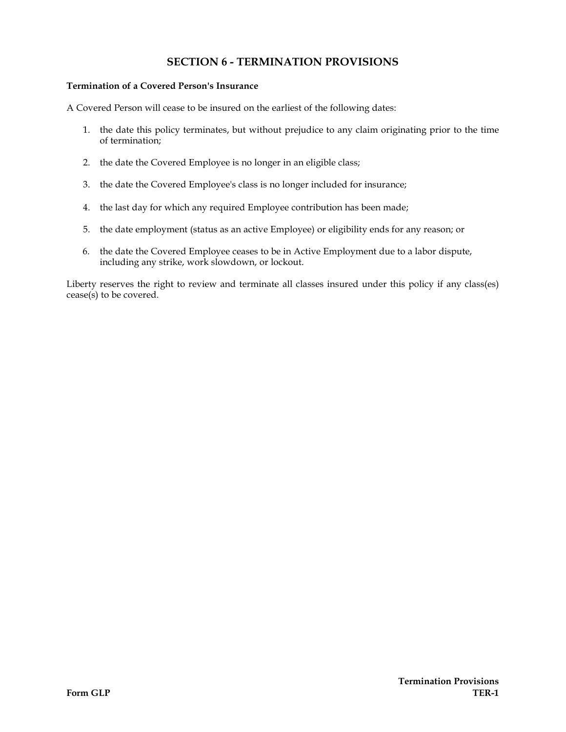## **SECTION 6 - TERMINATION PROVISIONS**

#### **Termination of a Covered Person's Insurance**

A Covered Person will cease to be insured on the earliest of the following dates:

- 1. the date this policy terminates, but without prejudice to any claim originating prior to the time of termination;
- 2. the date the Covered Employee is no longer in an eligible class;
- 3. the date the Covered Employee's class is no longer included for insurance;
- 4. the last day for which any required Employee contribution has been made;
- 5. the date employment (status as an active Employee) or eligibility ends for any reason; or
- 6. the date the Covered Employee ceases to be in Active Employment due to a labor dispute, including any strike, work slowdown, or lockout.

Liberty reserves the right to review and terminate all classes insured under this policy if any class(es) cease(s) to be covered.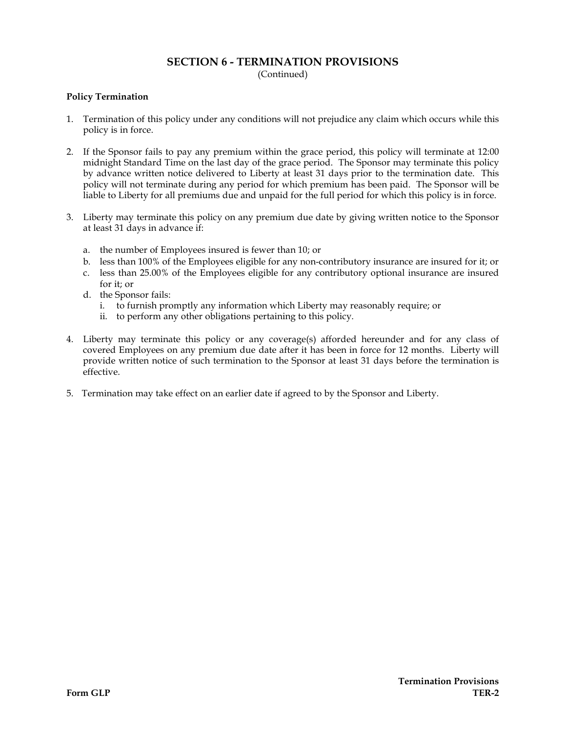## **SECTION 6 - TERMINATION PROVISIONS**

(Continued)

#### **Policy Termination**

- 1. Termination of this policy under any conditions will not prejudice any claim which occurs while this policy is in force.
- 2. If the Sponsor fails to pay any premium within the grace period, this policy will terminate at 12:00 midnight Standard Time on the last day of the grace period. The Sponsor may terminate this policy by advance written notice delivered to Liberty at least 31 days prior to the termination date. This policy will not terminate during any period for which premium has been paid. The Sponsor will be liable to Liberty for all premiums due and unpaid for the full period for which this policy is in force.
- 3. Liberty may terminate this policy on any premium due date by giving written notice to the Sponsor at least 31 days in advance if:
	- a. the number of Employees insured is fewer than 10; or
	- b. less than 100% of the Employees eligible for any non-contributory insurance are insured for it; or
	- c. less than 25.00% of the Employees eligible for any contributory optional insurance are insured for it; or
	- d. the Sponsor fails:
		- i. to furnish promptly any information which Liberty may reasonably require; or
		- ii. to perform any other obligations pertaining to this policy.
- 4. Liberty may terminate this policy or any coverage(s) afforded hereunder and for any class of covered Employees on any premium due date after it has been in force for 12 months. Liberty will provide written notice of such termination to the Sponsor at least 31 days before the termination is effective.
- 5. Termination may take effect on an earlier date if agreed to by the Sponsor and Liberty.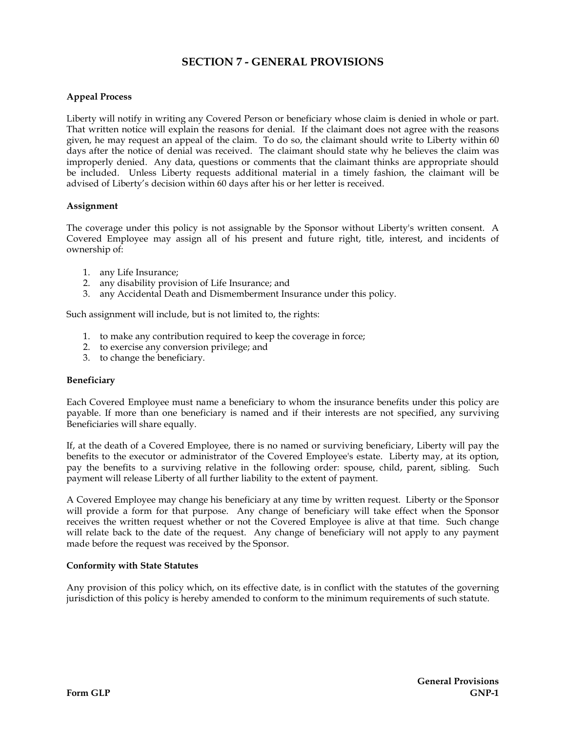#### **Appeal Process**

Liberty will notify in writing any Covered Person or beneficiary whose claim is denied in whole or part. That written notice will explain the reasons for denial. If the claimant does not agree with the reasons given, he may request an appeal of the claim. To do so, the claimant should write to Liberty within 60 days after the notice of denial was received. The claimant should state why he believes the claim was improperly denied. Any data, questions or comments that the claimant thinks are appropriate should be included. Unless Liberty requests additional material in a timely fashion, the claimant will be advised of Liberty 's decision within 60 days after his or her letter is received.

#### **Assignment**

The coverage under this policy is not assignable by the Sponsor without Liberty's written consent. A Covered Employee may assign all of his present and future right, title, interest, and incidents of ownership of:

- 1. any Life Insurance;
- 2. any disability provision of Life Insurance; and
- 3. any Accidental Death and Dismemberment Insurance under this policy.

Such assignment will include, but is not limited to, the rights:

- 1. to make any contribution required to keep the coverage in force;
- 2. to exercise any conversion privilege; and
- 3. to change the beneficiary.

#### **Beneficiary**

Each Covered Employee must name a beneficiary to whom the insurance benefits under this policy are payable. If more than one beneficiary is named and if their interests are not specified, any surviving Beneficiaries will share equally.

If, at the death of a Covered Employee, there is no named or surviving beneficiary, Liberty will pay the benefits to the executor or administrator of the Covered Employee's estate. Liberty may, at its option, pay the benefits to a surviving relative in the following order: spouse, child, parent, sibling. Such payment will release Liberty of all further liability to the extent of payment.

A Covered Employee may change his beneficiary at any time by written request. Liberty or the Sponsor will provide a form for that purpose. Any change of beneficiary will take effect when the Sponsor receives the written request whether or not the Covered Employee is alive at that time. Such change will relate back to the date of the request. Any change of beneficiary will not apply to any payment made before the request was received by the Sponsor.

#### **Conformity with State Statutes**

Any provision of this policy which, on its effective date, is in conflict with the statutes of the governing jurisdiction of this policy is hereby amended to conform to the minimum requirements of such statute.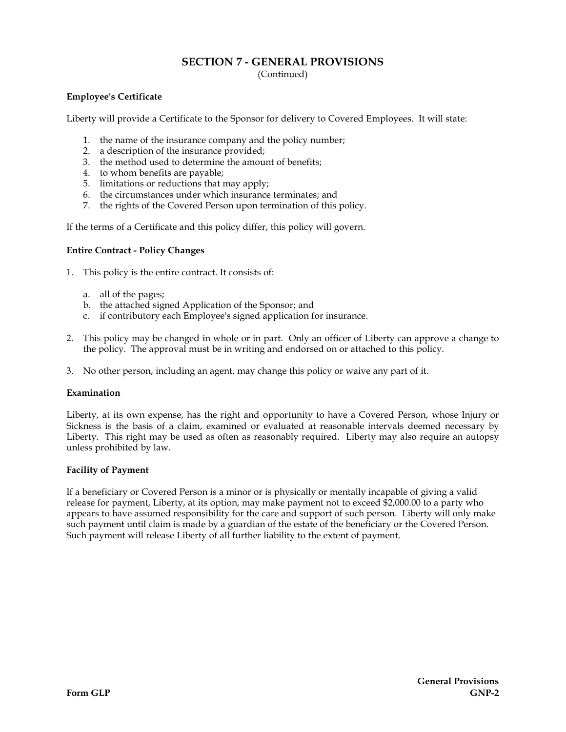(Continued)

#### **Employee's Certificate**

Liberty will provide a Certificate to the Sponsor for delivery to Covered Employees. It will state:

- 1. the name of the insurance company and the policy number;
- 2. a description of the insurance provided;
- 3. the method used to determine the amount of benefits;
- 4. to whom benefits are payable;
- 5. limitations or reductions that may apply;
- 6. the circumstances under which insurance terminates; and
- 7. the rights of the Covered Person upon termination of this policy.

If the terms of a Certificate and this policy differ, this policy will govern.

#### **Entire Contract - Policy Changes**

- 1. This policy is the entire contract. It consists of:
	- a. all of the pages;
	- b. the attached signed Application of the Sponsor; and
	- c. if contributory each Employee's signed application for insurance.
- 2. This policy may be changed in whole or in part. Only an officer of Liberty can approve a change to the policy. The approval must be in writing and endorsed on or attached to this policy.
- 3. No other person, including an agent, may change this policy or waive any part of it.

#### **Examination**

Liberty, at its own expense, has the right and opportunity to have a Covered Person, whose Injury or Sickness is the basis of a claim, examined or evaluated at reasonable intervals deemed necessary by Liberty. This right may be used as often as reasonably required. Liberty may also require an autopsy unless prohibited by law.

#### **Facility of Payment**

If a beneficiary or Covered Person is a minor or is physically or mentally incapable of giving a valid release for payment, Liberty, at its option, may make payment not to exceed \$2,000.00 to a party who appears to have assumed responsibility for the care and support of such person. Liberty will only make such payment until claim is made by a guardian of the estate of the beneficiary or the Covered Person. Such payment will release Liberty of all further liability to the extent of payment.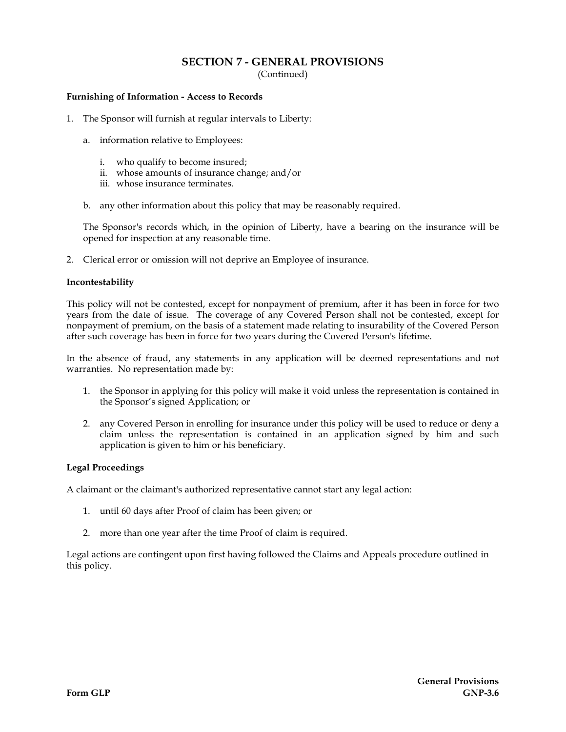(Continued)

#### **Furnishing of Information - Access to Records**

- 1. The Sponsor will furnish at regular intervals to Liberty:
	- a. information relative to Employees:
		- i. who qualify to become insured;
		- ii. whose amounts of insurance change; and/or
		- iii. whose insurance terminates.
	- b. any other information about this policy that may be reasonably required.

The Sponsor's records which, in the opinion of Liberty, have a bearing on the insurance will be opened for inspection at any reasonable time.

2. Clerical error or omission will not deprive an Employee of insurance.

#### **Incontestability**

This policy will not be contested, except for nonpayment of premium, after it has been in force for two years from the date of issue. The coverage of any Covered Person shall not be contested, except for nonpayment of premium, on the basis of a statement made relating to insurability of the Covered Person after such coverage has been in force for two years during the Covered Person's lifetime.

In the absence of fraud, any statements in any application will be deemed representations and not warranties. No representation made by:

- 1. the Sponsor in applying for this policy will make it void unless the representation is contained in the Sponsor's signed Application; or
- 2. any Covered Person in enrolling for insurance under this policy will be used to reduce or deny a claim unless the representation is contained in an application signed by him and such application is given to him or his beneficiary.

#### **Legal Proceedings**

A claimant or the claimant's authorized representative cannot start any legal action:

- 1. until 60 days after Proof of claim has been given; or
- 2. more than one year after the time Proof of claim is required.

Legal actions are contingent upon first having followed the Claims and Appeals procedure outlined in this policy.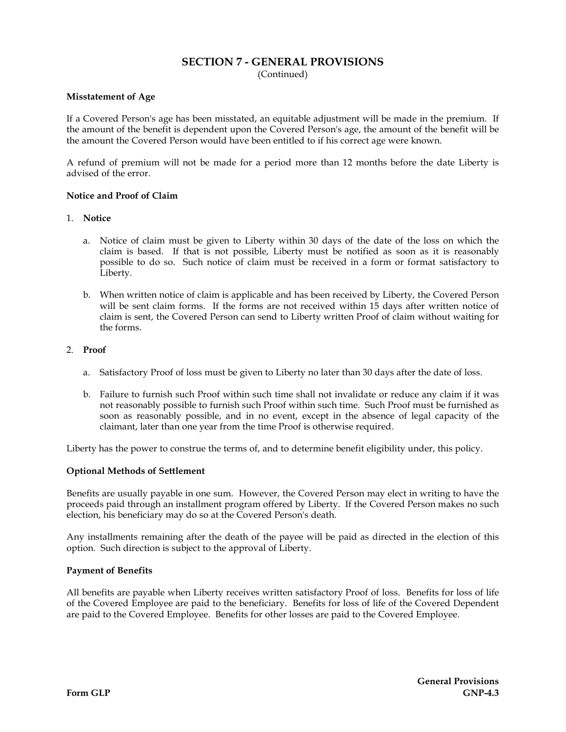(Continued)

#### **Misstatement of Age**

If a Covered Person's age has been misstated, an equitable adjustment will be made in the premium. If the amount of the benefit is dependent upon the Covered Person's age, the amount of the benefit will be the amount the Covered Person would have been entitled to if his correct age were known.

A refund of premium will not be made for a period more than 12 months before the date Liberty is advised of the error.

#### **Notice and Proof of Claim**

#### 1. **Notice**

- a. Notice of claim must be given to Liberty within 30 days of the date of the loss on which the claim is based. If that is not possible, Liberty must be notified as soon as it is reasonably possible to do so. Such notice of claim must be received in a form or format satisfactory to Liberty.
- b. When written notice of claim is applicable and has been received by Liberty, the Covered Person will be sent claim forms. If the forms are not received within 15 days after written notice of claim is sent, the Covered Person can send to Liberty written Proof of claim without waiting for the forms.

#### 2. **Proof**

- a. Satisfactory Proof of loss must be given to Liberty no later than 30 days after the date of loss.
- b. Failure to furnish such Proof within such time shall not invalidate or reduce any claim if it was not reasonably possible to furnish such Proof within such time. Such Proof must be furnished as soon as reasonably possible, and in no event, except in the absence of legal capacity of the claimant, later than one year from the time Proof is otherwise required.

Liberty has the power to construe the terms of, and to determine benefit eligibility under, this policy.

#### **Optional Methods of Settlement**

Benefits are usually payable in one sum. However, the Covered Person may elect in writing to have the proceeds paid through an installment program offered by Liberty. If the Covered Person makes no such election, his beneficiary may do so at the Covered Person's death.

Any installments remaining after the death of the payee will be paid as directed in the election of this option. Such direction is subject to the approval of Liberty.

#### **Payment of Benefits**

All benefits are payable when Liberty receives written satisfactory Proof of loss. Benefits for loss of life of the Covered Employee are paid to the beneficiary. Benefits for loss of life of the Covered Dependent are paid to the Covered Employee. Benefits for other losses are paid to the Covered Employee.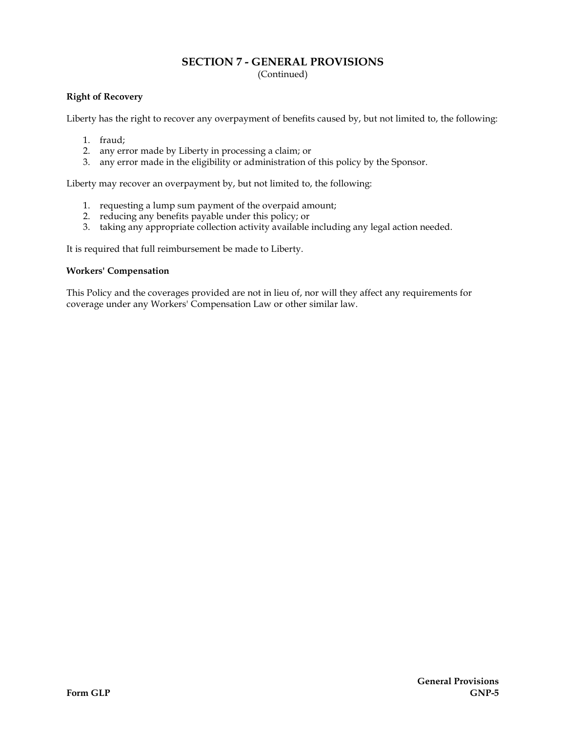(Continued)

#### **Right of Recovery**

Liberty has the right to recover any overpayment of benefits caused by, but not limited to, the following:

- 1 . f r a u d ;
- 2. any error made by Liberty in processing a claim; or
- 3. any error made in the eligibility or administration of this policy by the Sponsor.

Liberty may recover an overpayment by, but not limited to, the following:

- 1. requesting a lump sum payment of the overpaid amount;
- 1. requesting a lump sum payment of the overpaid amount;<br>2. reducing any benefits payable under this policy; or
- 3. taking any appropriate collection activity available including any legal action needed.

It is required that full reimbursement be made to Liberty.

#### Workers' Compensation

This Policy and the coverages provided are not in lieu of, nor will they affect any requirements for coverage under any Workers' Compensation Law or other similar law.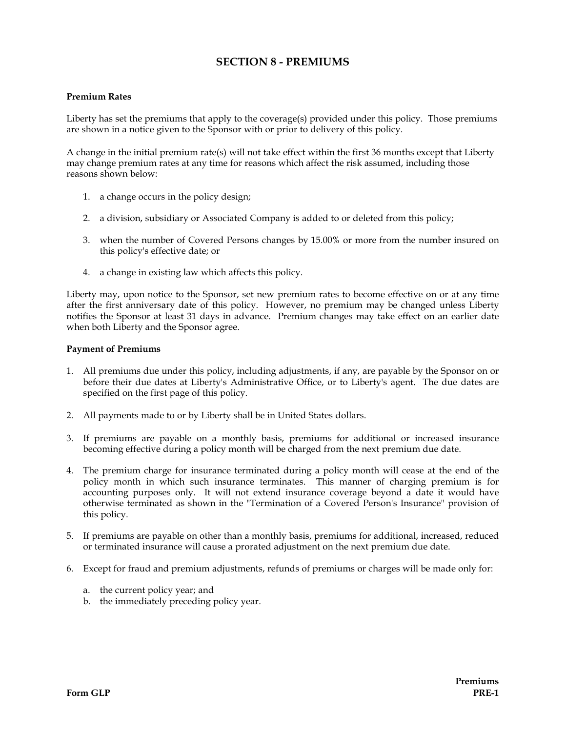## **SECTION 8 - PREMIUMS**

#### **Premium Rates**

Liberty has set the premiums that apply to the coverage(s) provided under this policy. Those premiums are shown in a notice given to the Sponsor with or prior to delivery of this policy.

A change in the initial premium rate(s) will not take effect within the first 36 months except that Liberty may change premium rates at any time for reasons which affect the risk assumed, including those reasons shown below:

- 1. a change occurs in the policy design;
- 2. a division, subsidiary or Associated Company is added to or deleted from this policy;
- 3. when the number of Covered Persons changes by 15.00% or more from the number insured on this policy's effective date; or
- 4. a change in existing law which affects this policy.

Liberty may, upon notice to the Sponsor, set new premium rates to become effective on or at any time after the first anniversary date of this policy. However, no premium may be changed unless Liberty notifies the Sponsor at least 31 days in advance. Premium changes may take effect on an earlier date when both Liberty and the Sponsor agree.

#### **Payment of Premiums**

- 1. All premiums due under this policy, including adjustments, if any, are payable by the Sponsor on or before their due dates at Liberty's Administrative Office, or to Liberty's agent. The due dates are specified on the first page of this policy.
- 2. All payments made to or by Liberty shall be in United States dollars.
- 3. If premiums are payable on a monthly basis, premiums for additional or increased insurance becoming effective during a policy month will be charged from the next premium due date.
- 4. The premium charge for insurance terminated during a policy month will cease at the end of the policy month in which such insurance terminates. This manner of charging premium is for accounting purposes only. It will not extend insurance coverage beyond a date it would have otherwise terminated as shown in the "Termination of a Covered Person's Insurance" provision of this policy.
- 5. If premiums are payable on other than a monthly basis, premiums for additional, increased, reduced or terminated insurance will cause a prorated adjustment on the next premium due date.
- 6. Except for fraud and premium adjustments, refunds of premiums or charges will be made only for:
	- a. the current policy year; and
	- b. the immediately preceding policy year.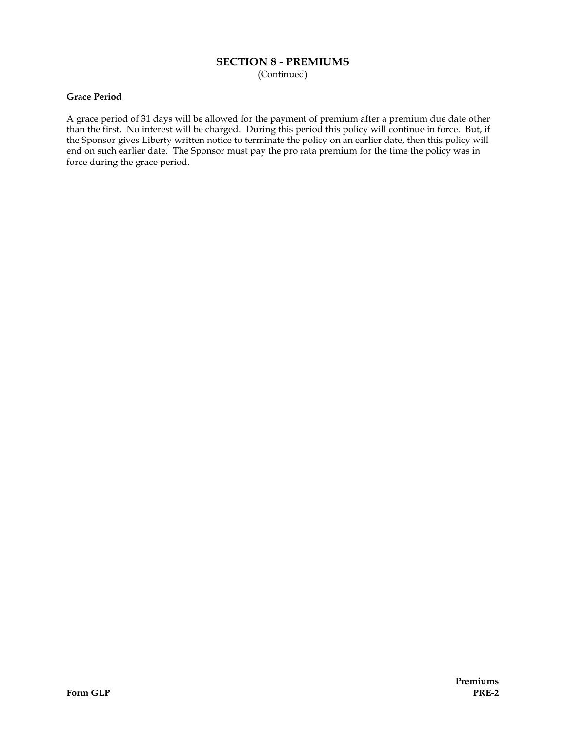## **SECTION 8 - PREMIUMS**

(Continued)

#### **Grace Period**

A grace period of 31 days will be allowed for the payment of premium after a premium due date other than the first. No interest will be charged. During this period this policy will continue in force. But, if the Sponsor gives Liberty written notice to terminate the policy on an earlier date, then this policy will end on such earlier date. The Sponsor must pay the pro rata premium for the time the policy was in force during the grace period.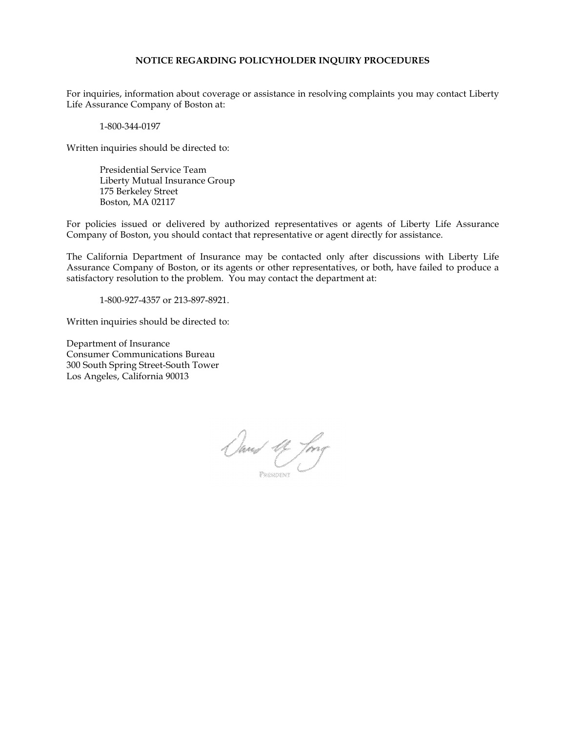#### **NOTICE REGARDING POLICYHOLDER INQUIRY PROCEDURES**

For inquiries, information about coverage or assistance in resolving complaints you may contact Liberty Life Assurance Company of Boston at:

1-800-344-0197

Written inquiries should be directed to:

Presidential Service Team Liberty Mutual Insurance Group 175 Berkeley Street Boston, MA 02117

For policies issued or delivered by authorized representatives or agents of Liberty Life Assurance Company of Boston, you should contact that representative or agent directly for assistance.

The California Department of Insurance may be contacted only after discussions with Liberty Life Assurance Company of Boston, or its agents or other representatives, or both, have failed to produce a satisfactory resolution to the problem. You may contact the department at:

1-800-927-4357 or 213-897-8921.

Written inquiries should be directed to:

Department of Insurance Consumer Communications Bureau 300 South Spring Street-South Tower Los Angeles, California 90013

Sand of Jong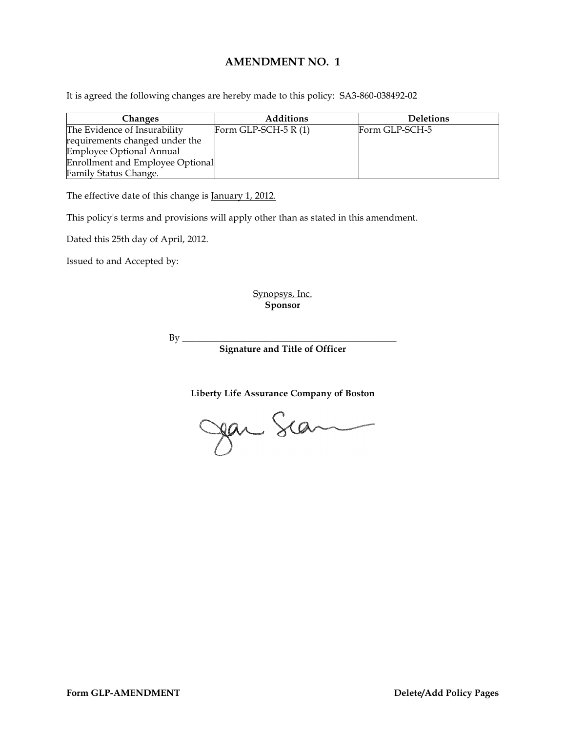## **AMENDMENT NO. 1**

It is agreed the following changes are hereby made to this policy: SA3-860-038492-02

| <b>Changes</b>                   | <b>Additions</b>      | <b>Deletions</b> |
|----------------------------------|-----------------------|------------------|
| The Evidence of Insurability     | Form GLP-SCH-5 $R(1)$ | Form GLP-SCH-5   |
| requirements changed under the   |                       |                  |
| <b>Employee Optional Annual</b>  |                       |                  |
| Enrollment and Employee Optional |                       |                  |
| Family Status Change.            |                       |                  |

The effective date of this change is January 1, 2012.

This policy's terms and provisions will apply other than as stated in this amendment.

Dated this 25th day of April, 2012.

Issued to and Accepted by:

Synopsys, Inc. **Sponsor**

By \_\_\_\_\_\_\_\_\_\_\_\_\_\_\_\_\_\_\_\_\_\_\_\_\_\_\_\_\_\_\_\_\_\_\_\_\_\_\_\_\_\_\_\_\_\_

**Signature and Title of Officer**

**Liberty Life Assurance Company of Boston**

Jan Scan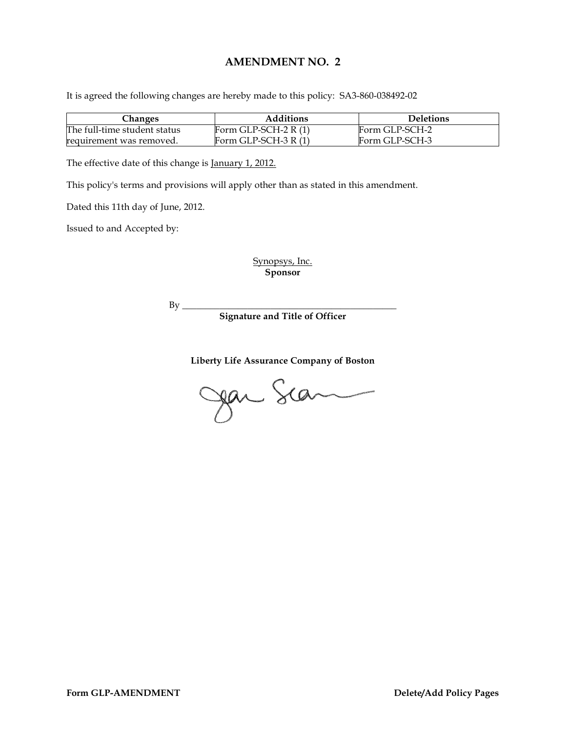## **AMENDMENT NO. 2**

It is agreed the following changes are hereby made to this policy: SA3-860-038492-02

| Changes                      | <b>Additions</b>      | <b>Deletions</b> |
|------------------------------|-----------------------|------------------|
| The full-time student status | Form GLP-SCH-2 $R(1)$ | Form GLP-SCH-2   |
| requirement was removed.     | Form GLP-SCH-3 $R(1)$ | Form GLP-SCH-3   |

The effective date of this change is January 1, 2012.

This policy's terms and provisions will apply other than as stated in this amendment.

Dated this 11th day of June, 2012.

Issued to and Accepted by:

Synopsys, Inc. **Sponsor**

By \_\_\_\_\_\_\_\_\_\_\_\_\_\_\_\_\_\_\_\_\_\_\_\_\_\_\_\_\_\_\_\_\_\_\_\_\_\_\_\_\_\_\_\_\_\_

**Signature and Title of Officer**

**Liberty Life Assurance Company of Boston**

Jean Scan